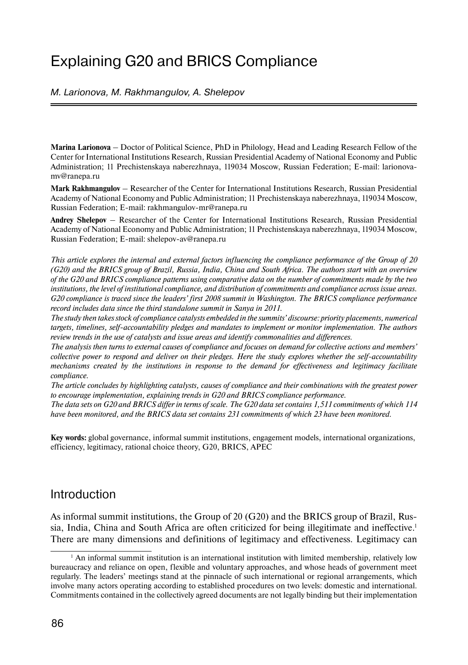# Explaining G20 and BRICS Compliance

M. Larionova, M. Rakhmangulov, A. Shelepov

**Marina Larionova** – Doctor of Political Science, PhD in Philology, Head and Leading Research Fellow of the Center for International Institutions Research, Russian Presidential Academy of National Economy and Public Administration; 11 Prechistenskaya naberezhnaya, 119034 Moscow, Russian Federation; E-mail: larionovamv@ranepa.ru

**Mark Rakhmangulov** – Researcher of the Center for International Institutions Research, Russian Presidential Academy of National Economy and Public Administration; 11 Prechistenskaya naberezhnaya, 119034 Moscow, Russian Federation; E-mail: rakhmangulov-mr@ranepa.ru

**Andrey Shelepov** – Researcher of the Center for International Institutions Research, Russian Presidential Academy of National Economy and Public Administration; 11 Prechistenskaya naberezhnaya, 119034 Moscow, Russian Federation; E-mail: shelepov-av@ranepa.ru

*This article explores the internal and external factors influencing the compliance performance of the Group of 20 (G20) and the BRICS group of Brazil, Russia, India, China and South Africa. The authors start with an overview of the G20 and BRICS compliance patterns using comparative data on the number of commitments made by the two institutions, the level of institutional compliance, and distribution of commitments and compliance across issue areas. G20 compliance is traced since the leaders' first 2008 summit in Washington. The BRICS compliance performance record includes data since the third standalone summit in Sanya in 2011.*

*The study then takes stock of compliance catalysts embedded in the summits' discourse: priority placements, numerical targets, timelines, self-accountability pledges and mandates to implement or monitor implementation. The authors review trends in the use of catalysts and issue areas and identify commonalities and differences.*

*The analysis then turns to external causes of compliance and focuses on demand for collective actions and members' collective power to respond and deliver on their pledges. Here the study explores whether the self-accountability mechanisms created by the institutions in response to the demand for effectiveness and legitimacy facilitate compliance.*

*The article concludes by highlighting catalysts, causes of compliance and their combinations with the greatest power to encourage implementation, explaining trends in G20 and BRICS compliance performance.*

*The data sets on G20 and BRICS differ in terms of scale. The G20 data set contains 1,511 commitments of which 114 have been monitored, and the BRICS data set contains 231 commitments of which 23 have been monitored.*

**Key words:** global governance, informal summit institutions, engagement models, international organizations, efficiency, legitimacy, rational choice theory, G20, BRICS, APEC

# Introduction

As informal summit institutions, the Group of 20 (G20) and the BRICS group of Brazil, Russia, India, China and South Africa are often criticized for being illegitimate and ineffective.<sup>1</sup> There are many dimensions and definitions of legitimacy and effectiveness. Legitimacy can

 $<sup>1</sup>$  An informal summit institution is an international institution with limited membership, relatively low</sup> bureaucracy and reliance on open, flexible and voluntary approaches, and whose heads of government meet regularly. The leaders' meetings stand at the pinnacle of such international or regional arrangements, which involve many actors operating according to established procedures on two levels: domestic and international. Commitments contained in the collectively agreed documents are not legally binding but their implementation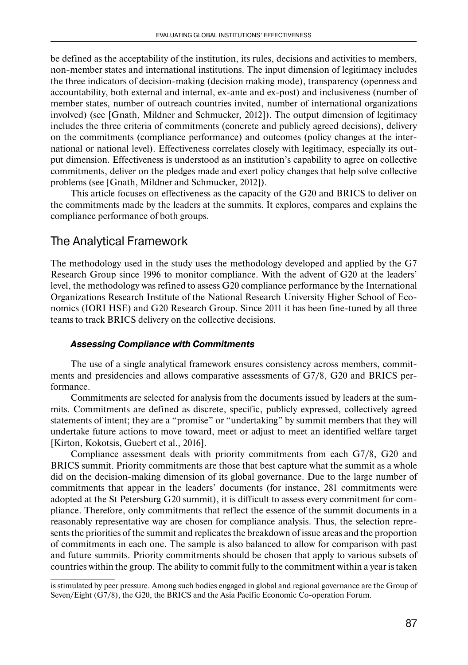be defined as the acceptability of the institution, its rules, decisions and activities to members, non-member states and international institutions. The input dimension of legitimacy includes the three indicators of decision-making (decision making mode), transparency (openness and accountability, both external and internal, ex-ante and ex-post) and inclusiveness (number of member states, number of outreach countries invited, number of international organizations involved) (see [Gnath, Mildner and Schmucker, 2012]). The output dimension of legitimacy includes the three criteria of commitments (concrete and publicly agreed decisions), delivery on the commitments (compliance performance) and outcomes (policy changes at the international or national level). Effectiveness correlates closely with legitimacy, especially its output dimension. Effectiveness is understood as an institution's capability to agree on collective commitments, deliver on the pledges made and exert policy changes that help solve collective problems (see [Gnath, Mildner and Schmucker, 2012]).

This article focuses on effectiveness as the capacity of the G20 and BRICS to deliver on the commitments made by the leaders at the summits. It explores, compares and explains the compliance performance of both groups.

# The Analytical Framework

The methodology used in the study uses the methodology developed and applied by the G7 Research Group since 1996 to monitor compliance. With the advent of G20 at the leaders' level, the methodology was refined to assess G20 compliance performance by the International Organizations Research Institute of the National Research University Higher School of Economics (IORI HSE) and G20 Research Group. Since 2011 it has been fine-tuned by all three teams to track BRICS delivery on the collective decisions.

## *Assessing Compliance with Commitments*

The use of a single analytical framework ensures consistency across members, commitments and presidencies and allows comparative assessments of G7/8, G20 and BRICS performance.

Commitments are selected for analysis from the documents issued by leaders at the summits. Commitments are defined as discrete, specific, publicly expressed, collectively agreed statements of intent; they are a "promise" or "undertaking" by summit members that they will undertake future actions to move toward, meet or adjust to meet an identified welfare target [Kirton, Kokotsis, Guebert et al., 2016].

Compliance assessment deals with priority commitments from each G7/8, G20 and BRICS summit. Priority commitments are those that best capture what the summit as a whole did on the decision-making dimension of its global governance. Due to the large number of commitments that appear in the leaders' documents (for instance, 281 commitments were adopted at the St Petersburg G20 summit), it is difficult to assess every commitment for compliance. Therefore, only commitments that reflect the essence of the summit documents in a reasonably representative way are chosen for compliance analysis. Thus, the selection represents the priorities of the summit and replicates the breakdown of issue areas and the proportion of commitments in each one. The sample is also balanced to allow for comparison with past and future summits. Priority commitments should be chosen that apply to various subsets of countries within the group. The ability to commit fully to the commitment within a year is taken

is stimulated by peer pressure. Among such bodies engaged in global and regional governance are the Group of Seven/Eight (G7/8), the G20, the BRICS and the Asia Pacific Economic Co-operation Forum.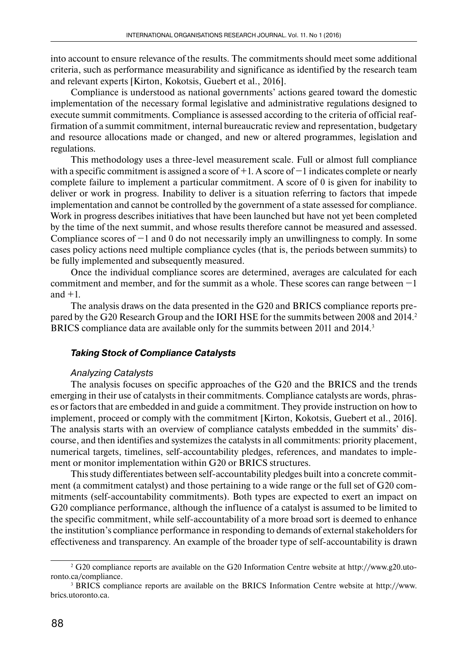into account to ensure relevance of the results. The commitments should meet some additional criteria, such as performance measurability and significance as identified by the research team and relevant experts [Kirton, Kokotsis, Guebert et al., 2016].

Compliance is understood as national governments' actions geared toward the domestic implementation of the necessary formal legislative and administrative regulations designed to execute summit commitments. Compliance is assessed according to the criteria of official reaffirmation of a summit commitment, internal bureaucratic review and representation, budgetary and resource allocations made or changed, and new or altered programmes, legislation and regulations.

This methodology uses a three-level measurement scale. Full or almost full compliance with a specific commitment is assigned a score of +1. A score of −1 indicates complete or nearly complete failure to implement a particular commitment. A score of 0 is given for inability to deliver or work in progress. Inability to deliver is a situation referring to factors that impede implementation and cannot be controlled by the government of a state assessed for compliance. Work in progress describes initiatives that have been launched but have not yet been completed by the time of the next summit, and whose results therefore cannot be measured and assessed. Compliance scores of −1 and 0 do not necessarily imply an unwillingness to comply. In some cases policy actions need multiple compliance cycles (that is, the periods between summits) to be fully implemented and subsequently measured.

Once the individual compliance scores are determined, averages are calculated for each commitment and member, and for the summit as a whole. These scores can range between −1 and  $+1$ .

The analysis draws on the data presented in the G20 and BRICS compliance reports prepared by the G20 Research Group and the IORI HSE for the summits between 2008 and 2014.<sup>2</sup> BRICS compliance data are available only for the summits between 2011 and 2014.<sup>3</sup>

### *Taking Stock of Compliance Catalysts*

#### Analyzing Catalysts

The analysis focuses on specific approaches of the G20 and the BRICS and the trends emerging in their use of catalysts in their commitments. Compliance catalysts are words, phrases or factors that are embedded in and guide a commitment. They provide instruction on how to implement, proceed or comply with the commitment [Kirton, Kokotsis, Guebert et al., 2016]. The analysis starts with an overview of compliance catalysts embedded in the summits' discourse, and then identifies and systemizes the catalysts in all commitments: priority placement, numerical targets, timelines, self-accountability pledges, references, and mandates to implement or monitor implementation within G20 or BRICS structures.

This study differentiates between self-accountability pledges built into a concrete commitment (a commitment catalyst) and those pertaining to a wide range or the full set of G20 commitments (self-accountability commitments). Both types are expected to exert an impact on G20 compliance performance, although the influence of a catalyst is assumed to be limited to the specific commitment, while self-accountability of a more broad sort is deemed to enhance the institution's compliance performance in responding to demands of external stakeholders for effectiveness and transparency. An example of the broader type of self-accountability is drawn

<sup>2</sup> G20 compliance reports are available on the G20 Information Centre website at http://www.g20.utoronto.ca/compliance.

<sup>3</sup> BRICS compliance reports are available on the BRICS Information Centre website at http://www. brics.utoronto.ca.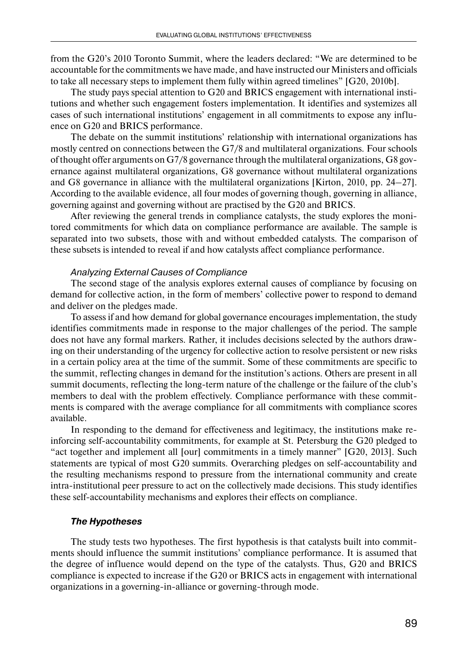from the G20's 2010 Toronto Summit, where the leaders declared: "We are determined to be accountable for the commitments we have made, and have instructed our Ministers and officials to take all necessary steps to implement them fully within agreed timelines" [G20, 2010b].

The study pays special attention to G20 and BRICS engagement with international institutions and whether such engagement fosters implementation. It identifies and systemizes all cases of such international institutions' engagement in all commitments to expose any influence on G20 and BRICS performance.

The debate on the summit institutions' relationship with international organizations has mostly centred on connections between the G7/8 and multilateral organizations. Four schools of thought offer arguments on G7/8 governance through the multilateral organizations, G8 governance against multilateral organizations, G8 governance without multilateral organizations and G8 governance in alliance with the multilateral organizations [Kirton, 2010, pp. 24–27]. According to the available evidence, all four modes of governing though, governing in alliance, governing against and governing without are practised by the G20 and BRICS.

After reviewing the general trends in compliance catalysts, the study explores the monitored commitments for which data on compliance performance are available. The sample is separated into two subsets, those with and without embedded catalysts. The comparison of these subsets is intended to reveal if and how catalysts affect compliance performance.

#### Analyzing External Causes of Compliance

The second stage of the analysis explores external causes of compliance by focusing on demand for collective action, in the form of members' collective power to respond to demand and deliver on the pledges made.

To assess if and how demand for global governance encourages implementation, the study identifies commitments made in response to the major challenges of the period. The sample does not have any formal markers. Rather, it includes decisions selected by the authors drawing on their understanding of the urgency for collective action to resolve persistent or new risks in a certain policy area at the time of the summit. Some of these commitments are specific to the summit, reflecting changes in demand for the institution's actions. Others are present in all summit documents, reflecting the long-term nature of the challenge or the failure of the club's members to deal with the problem effectively. Compliance performance with these commitments is compared with the average compliance for all commitments with compliance scores available.

In responding to the demand for effectiveness and legitimacy, the institutions make reinforcing self-accountability commitments, for example at St. Petersburg the G20 pledged to "act together and implement all [our] commitments in a timely manner" [G20, 2013]. Such statements are typical of most G20 summits. Overarching pledges on self-accountability and the resulting mechanisms respond to pressure from the international community and create intra-institutional peer pressure to act on the collectively made decisions. This study identifies these self-accountability mechanisms and explores their effects on compliance.

#### *The Hypotheses*

The study tests two hypotheses. The first hypothesis is that catalysts built into commitments should influence the summit institutions' compliance performance. It is assumed that the degree of influence would depend on the type of the catalysts. Thus, G20 and BRICS compliance is expected to increase if the G20 or BRICS acts in engagement with international organizations in a governing-in-alliance or governing-through mode.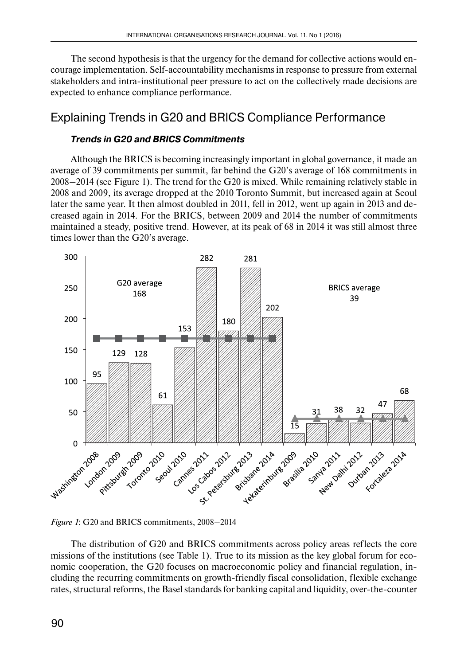The second hypothesis is that the urgency for the demand for collective actions would encourage implementation. Self-accountability mechanisms in response to pressure from external stakeholders and intra-institutional peer pressure to act on the collectively made decisions are expected to enhance compliance performance.

# Explaining Trends in G20 and BRICS Compliance Performance

### *Trends in G20 and BRICS Commitments*

Although the BRICS is becoming increasingly important in global governance, it made an average of 39 commitments per summit, far behind the G20's average of 168 commitments in 2008–2014 (see Figure 1). The trend for the G20 is mixed. While remaining relatively stable in 2008 and 2009, its average dropped at the 2010 Toronto Summit, but increased again at Seoul later the same year. It then almost doubled in 2011, fell in 2012, went up again in 2013 and decreased again in 2014. For the BRICS, between 2009 and 2014 the number of commitments maintained a steady, positive trend. However, at its peak of 68 in 2014 it was still almost three times lower than the G20's average.





The distribution of G20 and BRICS commitments across policy areas reflects the core missions of the institutions (see Table 1). True to its mission as the key global forum for economic cooperation, the G20 focuses on macroeconomic policy and financial regulation, including the recurring commitments on growth-friendly fiscal consolidation, flexible exchange rates, structural reforms, the Basel standards for banking capital and liquidity, over-the-counter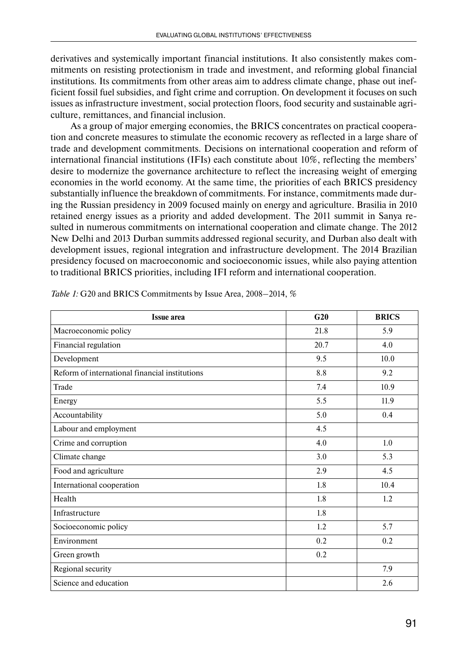derivatives and systemically important financial institutions. It also consistently makes commitments on resisting protectionism in trade and investment, and reforming global financial institutions. Its commitments from other areas aim to address climate change, phase out inefficient fossil fuel subsidies, and fight crime and corruption. On development it focuses on such issues as infrastructure investment, social protection floors, food security and sustainable agriculture, remittances, and financial inclusion.

As a group of major emerging economies, the BRICS concentrates on practical cooperation and concrete measures to stimulate the economic recovery as reflected in a large share of trade and development commitments. Decisions on international cooperation and reform of international financial institutions (IFIs) each constitute about 10%, reflecting the members' desire to modernize the governance architecture to reflect the increasing weight of emerging economies in the world economy. At the same time, the priorities of each BRICS presidency substantially influence the breakdown of commitments. For instance, commitments made during the Russian presidency in 2009 focused mainly on energy and agriculture. Brasilia in 2010 retained energy issues as a priority and added development. The 2011 summit in Sanya resulted in numerous commitments on international cooperation and climate change. The 2012 New Delhi and 2013 Durban summits addressed regional security, and Durban also dealt with development issues, regional integration and infrastructure development. The 2014 Brazilian presidency focused on macroeconomic and socioeconomic issues, while also paying attention to traditional BRICS priorities, including IFI reform and international cooperation.

| <b>Issue area</b>                              | G <sub>20</sub> | <b>BRICS</b> |
|------------------------------------------------|-----------------|--------------|
| Macroeconomic policy                           | 21.8            | 5.9          |
| Financial regulation                           | 20.7            | 4.0          |
| Development                                    | 9.5             | 10.0         |
| Reform of international financial institutions | 8.8             | 9.2          |
| Trade                                          | 7.4             | 10.9         |
| Energy                                         | 5.5             | 11.9         |
| Accountability                                 | 5.0             | 0.4          |
| Labour and employment                          | 4.5             |              |
| Crime and corruption                           | 4.0             | 1.0          |
| Climate change                                 | 3.0             | 5.3          |
| Food and agriculture                           | 2.9             | 4.5          |
| International cooperation                      | 1.8             | 10.4         |
| Health                                         | 1.8             | 1.2          |
| Infrastructure                                 | 1.8             |              |
| Socioeconomic policy                           | 1.2             | 5.7          |
| Environment                                    | 0.2             | 0.2          |
| Green growth                                   | 0.2             |              |
| Regional security                              |                 | 7.9          |
| Science and education                          |                 | 2.6          |

*Table 1:* G20 and BRICS Commitments by Issue Area, 2008–2014, %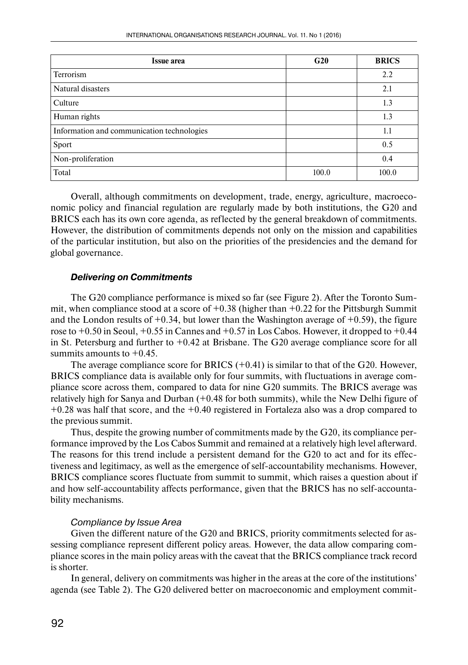| <b>Issue area</b>                          | G20   | <b>BRICS</b> |
|--------------------------------------------|-------|--------------|
| Terrorism                                  |       | 2.2          |
| Natural disasters                          |       | 2.1          |
| Culture                                    |       | 1.3          |
| Human rights                               |       | 1.3          |
| Information and communication technologies |       | 1.1          |
| Sport                                      |       | 0.5          |
| Non-proliferation                          |       | 0.4          |
| Total                                      | 100.0 | 100.0        |

Overall, although commitments on development, trade, energy, agriculture, macroeconomic policy and financial regulation are regularly made by both institutions, the G20 and BRICS each has its own core agenda, as reflected by the general breakdown of commitments. However, the distribution of commitments depends not only on the mission and capabilities of the particular institution, but also on the priorities of the presidencies and the demand for global governance.

### *Delivering on Commitments*

The G20 compliance performance is mixed so far (see Figure 2). After the Toronto Summit, when compliance stood at a score of  $+0.38$  (higher than  $+0.22$  for the Pittsburgh Summit and the London results of  $+0.34$ , but lower than the Washington average of  $+0.59$ ), the figure rose to  $+0.50$  in Seoul,  $+0.55$  in Cannes and  $+0.57$  in Los Cabos. However, it dropped to  $+0.44$ in St. Petersburg and further to  $+0.42$  at Brisbane. The G20 average compliance score for all summits amounts to  $+0.45$ .

The average compliance score for BRICS  $(+0.41)$  is similar to that of the G20. However, BRICS compliance data is available only for four summits, with fluctuations in average compliance score across them, compared to data for nine G20 summits. The BRICS average was relatively high for Sanya and Durban (+0.48 for both summits), while the New Delhi figure of +0.28 was half that score, and the +0.40 registered in Fortaleza also was a drop compared to the previous summit.

Thus, despite the growing number of commitments made by the G20, its compliance performance improved by the Los Cabos Summit and remained at a relatively high level afterward. The reasons for this trend include a persistent demand for the G20 to act and for its effectiveness and legitimacy, as well as the emergence of self-accountability mechanisms. However, BRICS compliance scores fluctuate from summit to summit, which raises a question about if and how self-accountability affects performance, given that the BRICS has no self-accountability mechanisms.

### Compliance by Issue Area

Given the different nature of the G20 and BRICS, priority commitments selected for assessing compliance represent different policy areas. However, the data allow comparing compliance scores in the main policy areas with the caveat that the BRICS compliance track record is shorter.

In general, delivery on commitments was higher in the areas at the core of the institutions' agenda (see Table 2). The G20 delivered better on macroeconomic and employment commit-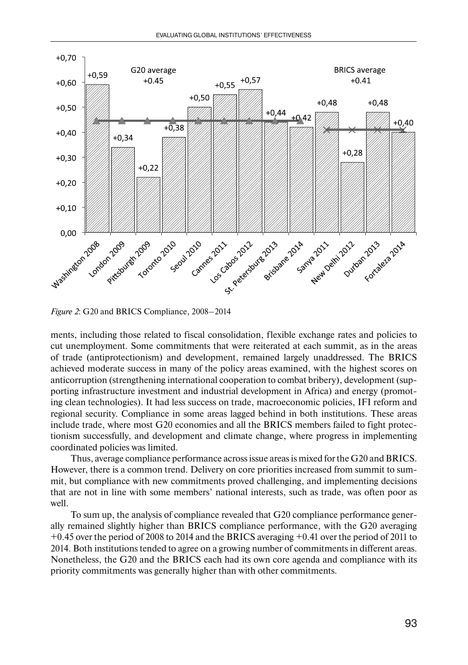

*Figure 2*: G20 and BRICS Compliance, 2008–2014

ments, including those related to fiscal consolidation, flexible exchange rates and policies to cut unemployment. Some commitments that were reiterated at each summit, as in the areas of trade (antiprotectionism) and development, remained largely unaddressed. The BRICS achieved moderate success in many of the policy areas examined, with the highest scores on anticorruption (strengthening international cooperation to combat bribery), development (supporting infrastructure investment and industrial development in Africa) and energy (promoting clean technologies). It had less success on trade, macroeconomic policies, IFI reform and regional security. Compliance in some areas lagged behind in both institutions. These areas include trade, where most G20 economies and all the BRICS members failed to fight protectionism successfully, and development and climate change, where progress in implementing coordinated policies was limited.

Thus, average compliance performance across issue areas is mixed for the G20 and BRICS. However, there is a common trend. Delivery on core priorities increased from summit to summit, but compliance with new commitments proved challenging, and implementing decisions that are not in line with some members' national interests, such as trade, was often poor as well.

To sum up, the analysis of compliance revealed that G20 compliance performance generally remained slightly higher than BRICS compliance performance, with the G20 averaging +0.45 over the period of 2008 to 2014 and the BRICS averaging +0.41 over the period of 2011 to 2014. Both institutions tended to agree on a growing number of commitments in different areas. Nonetheless, the G20 and the BRICS each had its own core agenda and compliance with its priority commitments was generally higher than with other commitments.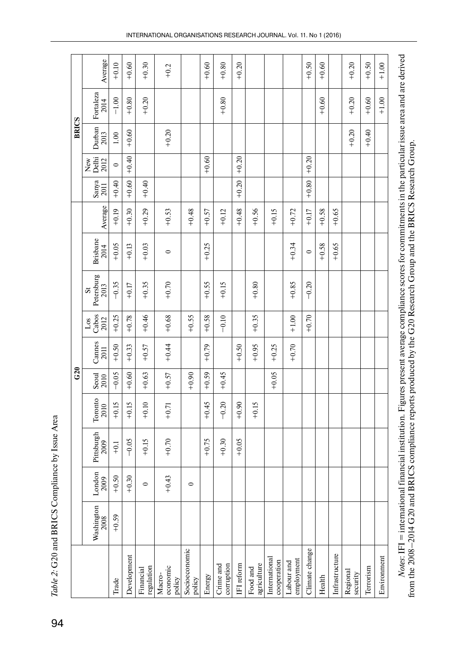|              | Average                                       | $+0.10$ | $+0.60$     | $+0.30$                 | $+0.2$                       |                         | $+0.60$ | $+0.80$                 | $+0.20$    |                         |                              |                          | $+0.50$        | $+0.60$ |                | $+0.20$              | $+0.50$   |             |
|--------------|-----------------------------------------------|---------|-------------|-------------------------|------------------------------|-------------------------|---------|-------------------------|------------|-------------------------|------------------------------|--------------------------|----------------|---------|----------------|----------------------|-----------|-------------|
|              | Fortaleza<br>2014                             | $-1.00$ | $+0.80$     | $+0.20$                 |                              |                         |         | $+0.80$                 |            |                         |                              |                          |                | $+0.60$ |                | $+0.20$              | $+0.60$   | $+1.00$     |
| <b>BRICS</b> | Durban<br>2013                                | 1.00    | $+0.60$     |                         | $+0.20$                      |                         |         |                         |            |                         |                              |                          |                |         |                | $+0.20$              | $+0.40$   |             |
|              | New<br>Delhi<br>2012                          | $\circ$ | $+0.40$     |                         |                              |                         | $+0.60$ |                         | $+0.20$    |                         |                              |                          | $+0.20$        |         |                |                      |           |             |
|              | $\frac{\text{Sanya}}{2011}$                   | $+0.40$ | $+0.60$     | $+0.40$                 |                              |                         |         |                         | $+0.20$    |                         |                              |                          | $+0.80$        |         |                |                      |           |             |
|              | Average                                       | $+0.19$ | $+0.30$     | $+0.29$                 | $+0.53$                      | $+0.48$                 | $+0.57$ | $+0.12$                 | $+0.48$    | $+0.56$                 | $+0.15$                      | $+0.72$                  | $+0.17$        | $+0.58$ | $+0.65$        |                      |           |             |
|              | <b>Brisbane</b><br>2014                       | $+0.05$ | $+0.13$     | $+0.03$                 | $\circ$                      |                         | $+0.25$ |                         |            |                         |                              | $+0.34$                  | $\circ$        | $+0.58$ | $+0.65$        |                      |           |             |
|              | Petersburg<br>2013<br>$\overline{\mathbf{s}}$ | $-0.35$ | $+0.17$     | $+0.35$                 | $+0.70$                      |                         | $+0.55$ | $+0.15$                 |            | $+0.80$                 |                              | $+0.85$                  | $-0.20$        |         |                |                      |           |             |
|              | Los<br>Cabos<br>2012                          | $+0.25$ | $+0.78$     | $+0.46$                 | $+0.68$                      | $+0.55$                 | $+0.58$ | $-0.10$                 |            | $+0.35$                 |                              | $+1.00$                  | $+0.70$        |         |                |                      |           |             |
|              | Cannes<br>2011                                | $+0.50$ | $+0.33$     | $+0.57$                 | $+0.44$                      |                         | $+0.79$ |                         | $+0.50$    | $+0.95$                 | $+0.25$                      | $+0.70$                  |                |         |                |                      |           |             |
| G20          | $\frac{\text{Seoul}}{2010}$                   | $-0.05$ | $+0.60$     | $+0.63$                 | $+0.57$                      | $+0.90$                 | $+0.59$ | $+0.45$                 |            |                         | $+0.05$                      |                          |                |         |                |                      |           |             |
|              | Toronto<br>2010                               | $+0.15$ | $+0.15$     | $+0.10$                 | $+0.71$                      |                         | $+0.45$ | $-0.20$                 | $+0.90$    | $+0.15$                 |                              |                          |                |         |                |                      |           |             |
|              | Pittsburgh<br>2009                            | $-1$    | $-0.05$     | $+0.15$                 | $+0.70$                      |                         | $+0.75$ | $+0.30$                 | $+0.05$    |                         |                              |                          |                |         |                |                      |           |             |
|              | London<br>2009                                | $+0.50$ | $+0.30$     | $\circ$                 | $+0.43$                      | $\circ$                 |         |                         |            |                         |                              |                          |                |         |                |                      |           |             |
|              | Washington                                    | $+0.59$ |             |                         |                              |                         |         |                         |            |                         |                              |                          |                |         |                |                      |           |             |
|              |                                               | Trade   | Development | regulation<br>Financial | economic<br>Macro-<br>policy | Socioeconomic<br>policy | Energy  | corruption<br>Crime and | IFI reform | agriculture<br>Food and | International<br>cooperation | employment<br>Labour and | Climate change | Health  | Infrastructure | Regional<br>security | Terrorism | Environment |

Table 2: G20 and BRICS Compliance by Issue Area *Table 2:* G20 and BRICS Compliance by Issue Area

Notes: IF1 = international financial institution. Figures present average compliance scores for commitments in the particular issue area and are derived<br>from the 2008–2014 G20 and BRICS compliance reports produced by the G *Notes*: IFI = international financial institution. Figures present average compliance scores for commitments in the particular issue area and are derived from the 2008–2014 G20 and BRICS compliance reports produced by the G20 Research Group and the BRICS Research Group.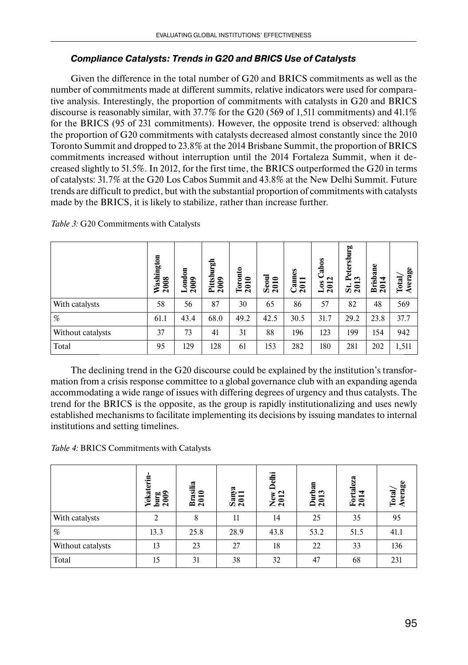## *Compliance Catalysts: Trends in G20 and BRICS Use of Catalysts*

Given the difference in the total number of G20 and BRICS commitments as well as the number of commitments made at different summits, relative indicators were used for comparative analysis. Interestingly, the proportion of commitments with catalysts in G20 and BRICS discourse is reasonably similar, with 37.7% for the G20 (569 of 1,511 commitments) and 41.1% for the BRICS (95 of 231 commitments). However, the opposite trend is observed: although the proportion of G20 commitments with catalysts decreased almost constantly since the 2010 Toronto Summit and dropped to 23.8% at the 2014 Brisbane Summit, the proportion of BRICS commitments increased without interruption until the 2014 Fortaleza Summit, when it decreased slightly to 51.5%. In 2012, for the first time, the BRICS outperformed the G20 in terms of catalysts: 31.7% at the G20 Los Cabos Summit and 43.8% at the New Delhi Summit. Future trends are difficult to predict, but with the substantial proportion of commitments with catalysts made by the BRICS, it is likely to stabilize, rather than increase further.

|                   | Washington<br>2008 | London<br>2009 | Pittsburgh<br>$\epsilon$<br>$\overline{20}$ | Toronto<br>2010 | $\frac{3 \text{eoul}}{2010}$ | Cannes<br>2011 | abos<br>$\mathbf{\mathbf{C}}$<br>$_{\text{LoS}}$<br>201 | Petersburg<br>ొ<br>201<br>ö | <b>Brisbane</b><br>₩<br>$\mathbf{z}$ | Average<br><b>Total</b> |
|-------------------|--------------------|----------------|---------------------------------------------|-----------------|------------------------------|----------------|---------------------------------------------------------|-----------------------------|--------------------------------------|-------------------------|
| With catalysts    | 58                 | 56             | 87                                          | 30              | 65                           | 86             | 57                                                      | 82                          | 48                                   | 569                     |
| %                 | 61.1               | 43.4           | 68.0                                        | 49.2            | 42.5                         | 30.5           | 31.7                                                    | 29.2                        | 23.8                                 | 37.7                    |
| Without catalysts | 37                 | 73             | 41                                          | 31              | 88                           | 196            | 123                                                     | 199                         | 154                                  | 942                     |
| Total             | 95                 | 129            | 128                                         | 61              | 153                          | 282            | 180                                                     | 281                         | 202                                  | 1,511                   |

*Table 3:* G20 Commitments with Catalysts

The declining trend in the G20 discourse could be explained by the institution's transformation from a crisis response committee to a global governance club with an expanding agenda accommodating a wide range of issues with differing degrees of urgency and thus catalysts. The trend for the BRICS is the opposite, as the group is rapidly institutionalizing and uses newly established mechanisms to facilitate implementing its decisions by issuing mandates to internal institutions and setting timelines.

*Table 4:* BRICS Commitments with Catalysts

|                   | terin<br>ਚ਼<br>ဗူဇ္ထ<br>₽<br>$\overline{a}$<br>ᄛ | silia<br>Bra<br>$\overline{20}$ | 昗<br>$\frac{5an}{201}$ | Ë<br>New<br>2012 | Durban<br>2013 | Fortaleza<br>2014 | Total/<br>Average |
|-------------------|--------------------------------------------------|---------------------------------|------------------------|------------------|----------------|-------------------|-------------------|
| With catalysts    | $\mathcal{D}$                                    | 8                               | 11                     | 14               | 25             | 35                | 95                |
| %                 | 13.3                                             | 25.8                            | 28.9                   | 43.8             | 53.2           | 51.5              | 41.1              |
| Without catalysts | 13                                               | 23                              | 27                     | 18               | 22             | 33                | 136               |
| Total             | 15                                               | 31                              | 38                     | 32               | 47             | 68                | 231               |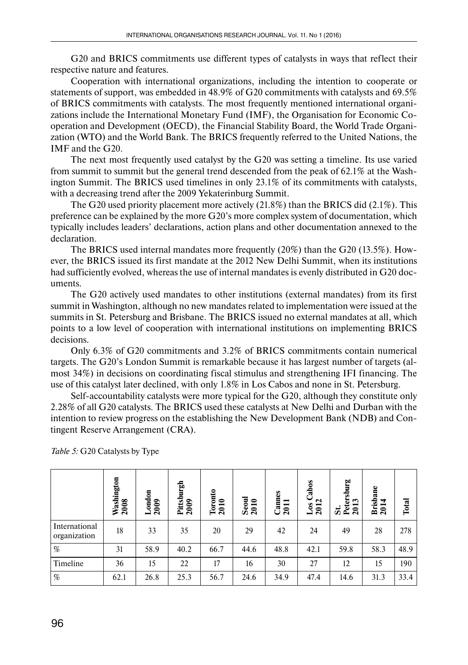G20 and BRICS commitments use different types of catalysts in ways that reflect their respective nature and features.

Cooperation with international organizations, including the intention to cooperate or statements of support, was embedded in 48.9% of G20 commitments with catalysts and 69.5% of BRICS commitments with catalysts. The most frequently mentioned international organizations include the International Monetary Fund (IMF), the Organisation for Economic Cooperation and Development (OECD), the Financial Stability Board, the World Trade Organization (WTO) and the World Bank. The BRICS frequently referred to the United Nations, the IMF and the G20.

The next most frequently used catalyst by the G20 was setting a timeline. Its use varied from summit to summit but the general trend descended from the peak of 62.1% at the Washington Summit. The BRICS used timelines in only 23.1% of its commitments with catalysts, with a decreasing trend after the 2009 Yekaterinburg Summit.

The G20 used priority placement more actively (21.8%) than the BRICS did (2.1%). This preference can be explained by the more G20's more complex system of documentation, which typically includes leaders' declarations, action plans and other documentation annexed to the declaration.

The BRICS used internal mandates more frequently (20%) than the G20 (13.5%). However, the BRICS issued its first mandate at the 2012 New Delhi Summit, when its institutions had sufficiently evolved, whereas the use of internal mandates is evenly distributed in G20 documents.

The G20 actively used mandates to other institutions (external mandates) from its first summit in Washington, although no new mandates related to implementation were issued at the summits in St. Petersburg and Brisbane. The BRICS issued no external mandates at all, which points to a low level of cooperation with international institutions on implementing BRICS decisions.

Only 6.3% of G20 commitments and 3.2% of BRICS commitments contain numerical targets. The G20's London Summit is remarkable because it has largest number of targets (almost 34%) in decisions on coordinating fiscal stimulus and strengthening IFI financing. The use of this catalyst later declined, with only 1.8% in Los Cabos and none in St. Petersburg.

Self-accountability catalysts were more typical for the G20, although they constitute only 2.28% of all G20 catalysts. The BRICS used these catalysts at New Delhi and Durban with the intention to review progress on the establishing the New Development Bank (NDB) and Contingent Reserve Arrangement (CRA).

|                               | Washington<br>2008 | London<br>2009 | Pittsburgh<br>2009 | Toronto<br>2010 | Seoul<br>2010 | Cannes<br>2011 | Cabos<br>2012<br><b>So</b> T | Petersburg<br>2013<br>5i | <b>Brisbane</b><br>₹<br>201 | Total |
|-------------------------------|--------------------|----------------|--------------------|-----------------|---------------|----------------|------------------------------|--------------------------|-----------------------------|-------|
| International<br>organization | 18                 | 33             | 35                 | 20              | 29            | 42             | 24                           | 49                       | 28                          | 278   |
| $\%$                          | 31                 | 58.9           | 40.2               | 66.7            | 44.6          | 48.8           | 42.1                         | 59.8                     | 58.3                        | 48.9  |
| Timeline                      | 36                 | 15             | 22                 | 17              | 16            | 30             | 27                           | 12                       | 15                          | 190   |
| $\%$                          | 62.1               | 26.8           | 25.3               | 56.7            | 24.6          | 34.9           | 47.4                         | 14.6                     | 31.3                        | 33.4  |

*Table 5:* G20 Catalysts by Type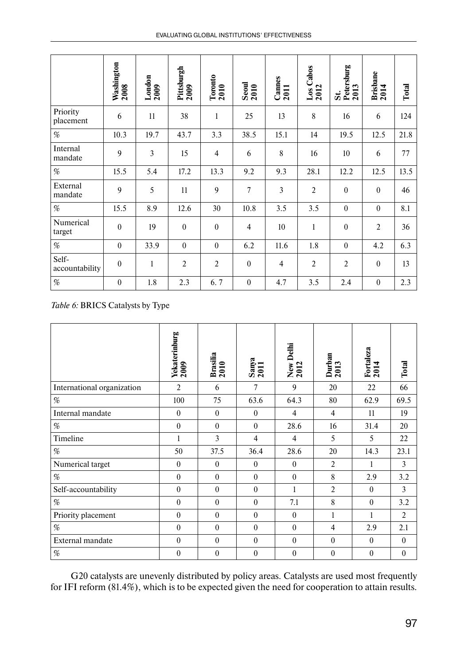|                         | Washington<br>2008 | $\frac{\text{London}}{2009}$ | Pittsburgh<br>2009 | Toronto<br>2010 | $Scon$<br>$2010$ | Cannes<br>2011 | Cabos<br>$\frac{\text{Los}}{2012}$ | Petersburg<br>2013<br>$\ddot{\mathbf{z}}$ | Brisbane<br>2014 | Total |
|-------------------------|--------------------|------------------------------|--------------------|-----------------|------------------|----------------|------------------------------------|-------------------------------------------|------------------|-------|
| Priority<br>placement   | 6                  | 11                           | 38                 | $\mathbf{1}$    | 25               | 13             | 8                                  | 16                                        | 6                | 124   |
| %                       | 10.3               | 19.7                         | 43.7               | 3.3             | 38.5             | 15.1           | 14                                 | 19.5                                      | 12.5             | 21.8  |
| Internal<br>mandate     | 9                  | 3                            | 15                 | $\overline{4}$  | 6                | 8              | 16                                 | 10                                        | 6                | 77    |
| %                       | 15.5               | 5.4                          | 17.2               | 13.3            | 9.2              | 9.3            | 28.1                               | 12.2                                      | 12.5             | 13.5  |
| External<br>mandate     | 9                  | 5                            | 11                 | 9               | 7                | $\overline{3}$ | $\overline{2}$                     | $\boldsymbol{0}$                          | $\theta$         | 46    |
| %                       | 15.5               | 8.9                          | 12.6               | 30              | 10.8             | 3.5            | 3.5                                | $\mathbf{0}$                              | $\theta$         | 8.1   |
| Numerical<br>target     | $\theta$           | 19                           | $\theta$           | $\theta$        | 4                | 10             | 1                                  | $\boldsymbol{0}$                          | $\overline{2}$   | 36    |
| %                       | $\mathbf{0}$       | 33.9                         | $\theta$           | $\mathbf{0}$    | 6.2              | 11.6           | 1.8                                | $\mathbf{0}$                              | 4.2              | 6.3   |
| Self-<br>accountability | $\mathbf{0}$       | $\mathbf{1}$                 | $\overline{2}$     | $\overline{2}$  | $\overline{0}$   | $\overline{4}$ | $\overline{2}$                     | $\overline{2}$                            | $\theta$         | 13    |
| %                       | $\mathbf{0}$       | 1.8                          | 2.3                | 6.7             | $\overline{0}$   | 4.7            | 3.5                                | 2.4                                       | $\theta$         | 2.3   |

*Table 6:* BRICS Catalysts by Type

|                                                                                                                       | Yekaterinburg<br>2009 | Brasilia<br>2010 | Sanya<br>2011  | New Delhi<br>2012 | Durban<br>2013 | Fortaleza<br>2014 | Total          |
|-----------------------------------------------------------------------------------------------------------------------|-----------------------|------------------|----------------|-------------------|----------------|-------------------|----------------|
| International organization                                                                                            | $\overline{2}$        | 6                | $\overline{7}$ | 9                 | 20             | 22                | 66             |
| $\%$                                                                                                                  | 100                   | 75               | 63.6           | 64.3              | 80             | 62.9              | 69.5           |
| Internal mandate                                                                                                      | $\theta$              | $\theta$         | $\theta$       | 4                 | 4              | 11                | 19             |
| $\%$                                                                                                                  | $\mathbf{0}$          | $\theta$         | $\theta$       | 28.6              | 16             | 31.4              | 20             |
| Timeline                                                                                                              | 1                     | 3                | $\overline{4}$ | 4                 | 5              | 5                 | 22             |
| $\%$                                                                                                                  | 50                    | 37.5             | 36.4           | 28.6              | 20             | 14.3              | 23.1           |
| Numerical target                                                                                                      | $\theta$              | $\theta$         | $\Omega$       | $\theta$          | $\overline{2}$ | 1                 | 3              |
| %                                                                                                                     | $\theta$              | $\theta$         | $\theta$       | $\theta$          | 8              | 2.9               | 3.2            |
| Self-accountability                                                                                                   | $\theta$              | $\theta$         | $\theta$       | 1                 | $\overline{2}$ | $\theta$          | 3              |
| %                                                                                                                     | $\theta$              | $\theta$         | $\theta$       | 7.1               | 8              | $\theta$          | 3.2            |
| Priority placement                                                                                                    | $\theta$              | $\theta$         | $\theta$       | $\theta$          | 1              | 1                 | $\overline{2}$ |
| %                                                                                                                     | $\theta$              | $\theta$         | $\Omega$       | $\theta$          | $\overline{4}$ | 2.9               | 2.1            |
| External mandate                                                                                                      | $\theta$              | $\theta$         | $\theta$       | $\theta$          | $\theta$       | $\theta$          | $\theta$       |
| $% \mathcal{P}_{\mathrm{C}}\left( \mathcal{P}_{\mathrm{C}}\right) =\left( \mathcal{P}_{\mathrm{C}}\right) ^{\prime }$ | $\boldsymbol{0}$      | $\boldsymbol{0}$ | $\theta$       | $\boldsymbol{0}$  | $\theta$       | $\theta$          | $\overline{0}$ |

G20 catalysts are unevenly distributed by policy areas. Catalysts are used most frequently for IFI reform (81.4%), which is to be expected given the need for cooperation to attain results.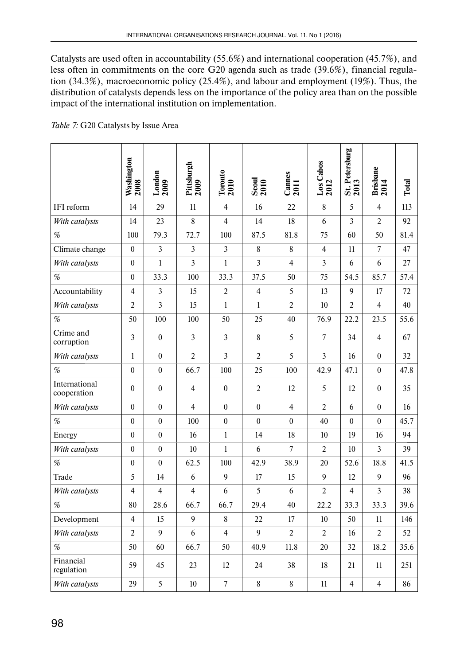Catalysts are used often in accountability (55.6%) and international cooperation (45.7%), and less often in commitments on the core G20 agenda such as trade (39.6%), financial regulation (34.3%), macroeconomic policy (25.4%), and labour and employment (19%). Thus, the distribution of catalysts depends less on the importance of the policy area than on the possible impact of the international institution on implementation.

|                               | Washington<br>2008 | London<br>2009   | Pittsburgh<br>2009 | Toronto<br>2010  | $S$ eoul<br>$2010$ | $\frac{\text{Cames}}{\text{2011}}$ | $\frac{\text{Los} \text{ Cabos}}{2012}$ | St. Petersburg<br>2013 | Brisbane<br>2014 | Total |
|-------------------------------|--------------------|------------------|--------------------|------------------|--------------------|------------------------------------|-----------------------------------------|------------------------|------------------|-------|
| IFI reform                    | 14                 | 29               | 11                 | 4                | 16                 | 22                                 | 8                                       | 5                      | 4                | 113   |
| With catalysts                | 14                 | 23               | 8                  | $\overline{4}$   | 14                 | 18                                 | 6                                       | $\overline{3}$         | $\overline{2}$   | 92    |
| %                             | 100                | 79.3             | 72.7               | 100              | 87.5               | 81.8                               | 75                                      | 60                     | 50               | 81.4  |
| Climate change                | $\theta$           | $\overline{3}$   | $\overline{3}$     | 3                | 8                  | 8                                  | $\overline{4}$                          | 11                     | $\overline{7}$   | 47    |
| With catalysts                | $\boldsymbol{0}$   | 1                | $\overline{3}$     | $\mathbf{1}$     | $\overline{3}$     | $\overline{4}$                     | $\overline{3}$                          | 6                      | 6                | 27    |
| $\%$                          | $\boldsymbol{0}$   | 33.3             | 100                | 33.3             | 37.5               | 50                                 | 75                                      | 54.5                   | 85.7             | 57.4  |
| Accountability                | $\overline{4}$     | $\overline{3}$   | 15                 | $\overline{2}$   | $\overline{4}$     | 5                                  | 13                                      | 9                      | 17               | 72    |
| With catalysts                | $\overline{2}$     | $\overline{3}$   | 15                 | $\mathbf{1}$     | $\mathbf{1}$       | $\overline{2}$                     | 10                                      | $\overline{2}$         | $\overline{4}$   | 40    |
| $\%$                          | 50                 | 100              | 100                | 50               | 25                 | 40                                 | 76.9                                    | 22.2                   | 23.5             | 55.6  |
| Crime and<br>corruption       | 3                  | $\boldsymbol{0}$ | 3                  | 3                | $\,$ 8 $\,$        | 5                                  | $\overline{7}$                          | 34                     | 4                | 67    |
| With catalysts                | $\mathbf{1}$       | $\mathbf{0}$     | $\overline{2}$     | $\overline{3}$   | $\overline{2}$     | 5                                  | $\overline{3}$                          | 16                     | $\overline{0}$   | 32    |
| $\%$                          | $\boldsymbol{0}$   | $\mathbf{0}$     | 66.7               | 100              | 25                 | 100                                | 42.9                                    | 47.1                   | $\overline{0}$   | 47.8  |
| International<br>cooperation  | $\theta$           | $\theta$         | $\overline{4}$     | $\theta$         | 2                  | 12                                 | 5                                       | 12                     | $\theta$         | 35    |
| With catalysts                | $\overline{0}$     | $\mathbf{0}$     | $\overline{4}$     | $\theta$         | $\overline{0}$     | $\overline{4}$                     | $\overline{2}$                          | 6                      | $\theta$         | 16    |
| %                             | $\overline{0}$     | $\mathbf{0}$     | 100                | $\boldsymbol{0}$ | $\mathbf{0}$       | $\overline{0}$                     | 40                                      | $\mathbf{0}$           | $\theta$         | 45.7  |
| Energy                        | $\theta$           | $\theta$         | 16                 | $\mathbf{1}$     | 14                 | 18                                 | 10                                      | 19                     | 16               | 94    |
| With catalysts                | $\boldsymbol{0}$   | $\boldsymbol{0}$ | 10                 | $\mathbf{1}$     | 6                  | 7                                  | 2                                       | 10                     | 3                | 39    |
| $% \mathcal{P}_{\mathcal{A}}$ | $\overline{0}$     | $\mathbf{0}$     | 62.5               | 100              | 42.9               | 38.9                               | 20                                      | 52.6                   | 18.8             | 41.5  |
| Trade                         | 5                  | 14               | 6                  | 9                | 17                 | 15                                 | 9                                       | 12                     | 9                | 96    |
| With catalysts                | 4                  | $\overline{4}$   | $\overline{4}$     | 6                | 5                  | 6                                  | $\overline{c}$                          | 4                      | $\overline{3}$   | 38    |
| %                             | 80                 | 28.6             | 66.7               | 66.7             | 29.4               | 40                                 | 22.2                                    | 33.3                   | 33.3             | 39.6  |
| Development                   | 4                  | 15               | 9                  | 8                | 22                 | 17                                 | 10                                      | 50                     | 11               | 146   |
| With catalysts                | $\overline{2}$     | 9                | 6                  | $\overline{4}$   | 9                  | $\overline{2}$                     | $\overline{2}$                          | 16                     | $\overline{2}$   | 52    |
| $\%$                          | 50                 | 60               | 66.7               | 50               | 40.9               | 11.8                               | 20                                      | 32                     | 18.2             | 35.6  |
| Financial<br>regulation       | 59                 | 45               | 23                 | 12               | 24                 | 38                                 | 18                                      | 21                     | 11               | 251   |
| With catalysts                | 29                 | 5                | 10                 | $\overline{7}$   | $\,8\,$            | 8                                  | 11                                      | $\overline{4}$         | 4                | 86    |

*Table 7:* G20 Catalysts by Issue Area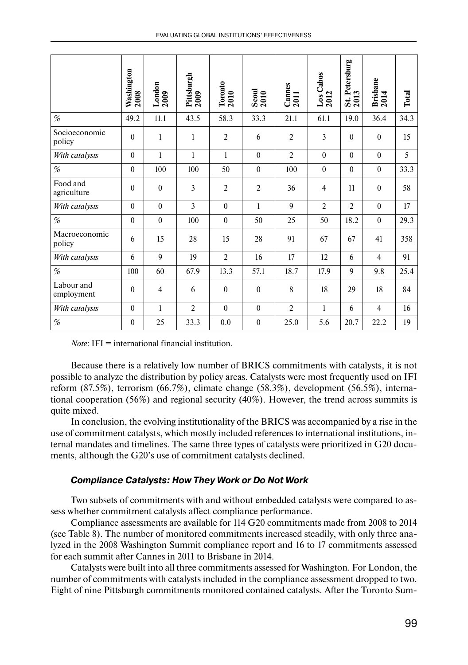|                          | Washington<br>2008 | London<br>$2009$ | Pittsburgh<br>2009 | Toronto<br>2010  | $\frac{3}{2010}$ | $\frac{\text{Cames}}{\text{2011}}$ | $\frac{\text{Los Cabos}}{2012}$ | St. Petersburg<br>2013 | <b>Brisbane</b><br>2014 | Total |
|--------------------------|--------------------|------------------|--------------------|------------------|------------------|------------------------------------|---------------------------------|------------------------|-------------------------|-------|
| %                        | 49.2               | 11.1             | 43.5               | 58.3             | 33.3             | 21.1                               | 61.1                            | 19.0                   | 36.4                    | 34.3  |
| Socioeconomic<br>policy  | $\theta$           | 1                | $\mathbf{1}$       | $\overline{2}$   | 6                | $\overline{2}$                     | 3                               | $\theta$               | $\theta$                | 15    |
| With catalysts           | $\mathbf{0}$       | $\mathbf{1}$     | $\mathbf{1}$       | $\mathbf{1}$     | $\theta$         | $\overline{2}$                     | $\theta$                        | $\theta$               | $\theta$                | 5     |
| %                        | $\mathbf{0}$       | 100              | 100                | 50               | $\boldsymbol{0}$ | 100                                | $\boldsymbol{0}$                | $\theta$               | $\theta$                | 33.3  |
| Food and<br>agriculture  | $\mathbf{0}$       | $\mathbf{0}$     | 3                  | $\overline{2}$   | $\overline{2}$   | 36                                 | $\overline{4}$                  | 11                     | $\boldsymbol{0}$        | 58    |
| With catalysts           | $\theta$           | $\theta$         | $\overline{3}$     | $\theta$         | $\mathbf{1}$     | 9                                  | $\overline{2}$                  | $\overline{2}$         | $\theta$                | 17    |
| %                        | $\mathbf{0}$       | $\boldsymbol{0}$ | 100                | $\boldsymbol{0}$ | 50               | 25                                 | 50                              | 18.2                   | $\theta$                | 29.3  |
| Macroeconomic<br>policy  | 6                  | 15               | 28                 | 15               | 28               | 91                                 | 67                              | 67                     | 41                      | 358   |
| With catalysts           | 6                  | 9                | 19                 | $\overline{2}$   | 16               | 17                                 | 12                              | 6                      | $\overline{4}$          | 91    |
| %                        | 100                | 60               | 67.9               | 13.3             | 57.1             | 18.7                               | 17.9                            | 9                      | 9.8                     | 25.4  |
| Labour and<br>employment | $\mathbf{0}$       | $\overline{4}$   | 6                  | $\mathbf{0}$     | $\boldsymbol{0}$ | 8                                  | 18                              | 29                     | 18                      | 84    |
| With catalysts           | $\theta$           | 1                | $\overline{2}$     | $\theta$         | $\theta$         | $\overline{2}$                     | $\mathbf{1}$                    | 6                      | $\overline{4}$          | 16    |
| $\%$                     | $\mathbf{0}$       | 25               | 33.3               | 0.0              | $\mathbf{0}$     | 25.0                               | 5.6                             | 20.7                   | 22.2                    | 19    |

*Note*: IFI = international financial institution.

Because there is a relatively low number of BRICS commitments with catalysts, it is not possible to analyze the distribution by policy areas. Catalysts were most frequently used on IFI reform (87.5%), terrorism (66.7%), climate change (58.3%), development (56.5%), international cooperation (56%) and regional security (40%). However, the trend across summits is quite mixed.

In conclusion, the evolving institutionality of the BRICS was accompanied by a rise in the use of commitment catalysts, which mostly included references to international institutions, internal mandates and timelines. The same three types of catalysts were prioritized in G20 documents, although the G20's use of commitment catalysts declined.

#### *Compliance Catalysts: How They Work or Do Not Work*

Two subsets of commitments with and without embedded catalysts were compared to assess whether commitment catalysts affect compliance performance.

Compliance assessments are available for 114 G20 commitments made from 2008 to 2014 (see Table 8). The number of monitored commitments increased steadily, with only three analyzed in the 2008 Washington Summit compliance report and 16 to 17 commitments assessed for each summit after Cannes in 2011 to Brisbane in 2014.

Catalysts were built into all three commitments assessed for Washington. For London, the number of commitments with catalysts included in the compliance assessment dropped to two. Eight of nine Pittsburgh commitments monitored contained catalysts. After the Toronto Sum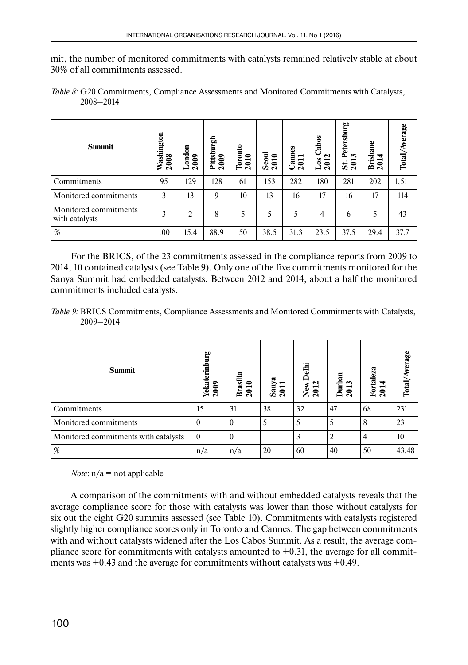mit, the number of monitored commitments with catalysts remained relatively stable at about 30% of all commitments assessed.

| <b>Summit</b>                           | Washington<br>2008 | ondon<br>000<br>$\mathbf{\tilde{c}}$ | 틺<br>ŝ<br>$\frac{60}{2}$<br>荘<br>≏<br>$\bar{\mathbf{N}}$ | Toronto<br>2010 | eou<br>≏<br>$\overline{20}$<br>w | Cannes<br>2011 | Cabos<br>2012<br>$_{\text{LoS}}$ | Petersburg<br>ొ<br>0<br>S<br>$\mathbf{\tilde{c}}$ | <b>Brisbane</b><br>4<br>201 | Total/Average |
|-----------------------------------------|--------------------|--------------------------------------|----------------------------------------------------------|-----------------|----------------------------------|----------------|----------------------------------|---------------------------------------------------|-----------------------------|---------------|
| Commitments                             | 95                 | 129                                  | 128                                                      | 61              | 153                              | 282            | 180                              | 281                                               | 202                         | 1,511         |
| Monitored commitments                   | 3                  | 13                                   | 9                                                        | 10              | 13                               | 16             | 17                               | 16                                                | 17                          | 114           |
| Monitored commitments<br>with catalysts | 3                  | $\overline{2}$                       | 8                                                        | 5               | 5                                | 5              | 4                                | 6                                                 | 5                           | 43            |
| %                                       | 100                | 15.4                                 | 88.9                                                     | 50              | 38.5                             | 31.3           | 23.5                             | 37.5                                              | 29.4                        | 37.7          |

*Table 8:* G20 Commitments, Compliance Assessments and Monitored Commitments with Catalysts, 2008–2014

For the BRICS, of the 23 commitments assessed in the compliance reports from 2009 to 2014, 10 contained catalysts (see Table 9). Only one of the five commitments monitored for the Sanya Summit had embedded catalysts. Between 2012 and 2014, about a half the monitored commitments included catalysts.

*Table 9:* BRICS Commitments, Compliance Assessments and Monitored Commitments with Catalysts, 2009–2014

| <b>Summit</b>                        | Yekaterinburg<br>2009 | Brasilia<br>2010 | Sanya<br>2011 | Delhi<br>New<br>2012 | Durban<br>2013 | Fortaleza<br>₹<br>201 | verage<br>Total/ |
|--------------------------------------|-----------------------|------------------|---------------|----------------------|----------------|-----------------------|------------------|
| Commitments                          | 15                    | 31               | 38            | 32                   | 47             | 68                    | 231              |
| Monitored commitments                | $\theta$              | $\Omega$         |               | 5                    |                | 8                     | 23               |
| Monitored commitments with catalysts | $\mathbf{0}$          | $\theta$         |               | 3                    | 2              | 4                     | 10               |
| $\%$                                 | n/a                   | n/a              | 20            | 60                   | 40             | 50                    | 43.48            |

*Note*:  $n/a = not applicable$ 

A comparison of the commitments with and without embedded catalysts reveals that the average compliance score for those with catalysts was lower than those without catalysts for six out the eight G20 summits assessed (see Table 10). Commitments with catalysts registered slightly higher compliance scores only in Toronto and Cannes. The gap between commitments with and without catalysts widened after the Los Cabos Summit. As a result, the average compliance score for commitments with catalysts amounted to  $+0.31$ , the average for all commitments was  $+0.43$  and the average for commitments without catalysts was  $+0.49$ .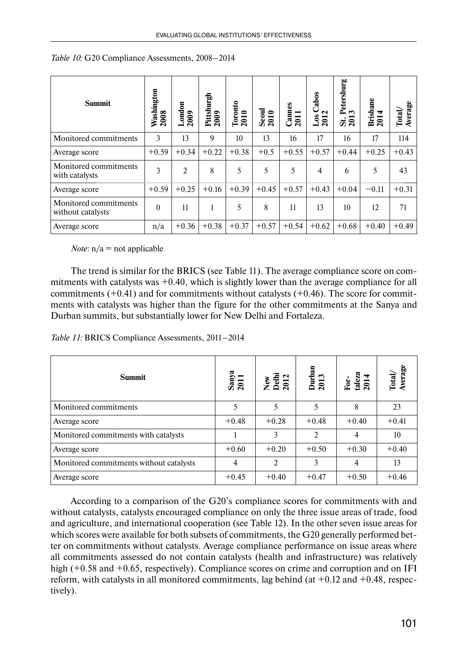| <b>Summit</b>                              | Washington<br>2008 | London<br>2009 | Pittsburgh<br>2009 | Toronto<br>$\bullet$<br>201 | $\frac{$<br>\nSeoul<br>\n2010 | Cannes<br>$\overline{\phantom{0}}$<br>201 | Cabos<br>$\mathbf{\tilde{c}}$<br>$\overline{\text{L}}$ os<br>201 | Petersburg<br>ొ<br>201<br>ö | <b>Brisbane</b><br>4<br>201 | Average<br>Total, |
|--------------------------------------------|--------------------|----------------|--------------------|-----------------------------|-------------------------------|-------------------------------------------|------------------------------------------------------------------|-----------------------------|-----------------------------|-------------------|
| Monitored commitments                      | 3                  | 13             | 9                  | 10                          | 13                            | 16                                        | 17                                                               | 16                          | 17                          | 114               |
| Average score                              | $+0.59$            | $+0.34$        | $+0.22$            | $+0.38$                     | $+0.5$                        | $+0.55$                                   | $+0.57$                                                          | $+0.44$                     | $+0.25$                     | $+0.43$           |
| Monitored commitments<br>with catalysts    | 3                  | $\overline{2}$ | 8                  | 5                           | 5                             | 5                                         | 4                                                                | 6                           | 5                           | 43                |
| Average score                              | $+0.59$            | $+0.25$        | $+0.16$            | $+0.39$                     | $+0.45$                       | $+0.57$                                   | $+0.43$                                                          | $+0.04$                     | $-0.11$                     | $+0.31$           |
| Monitored commitments<br>without catalysts | $\theta$           | 11             |                    | 5                           | 8                             | 11                                        | 13                                                               | 10                          | 12                          | 71                |
| Average score                              | n/a                | $+0.36$        | $+0.38$            | $+0.37$                     | $+0.57$                       | $+0.54$                                   | $+0.62$                                                          | $+0.68$                     | $+0.40$                     | $+0.49$           |

*Table 10:* G20 Compliance Assessments, 2008–2014

*Note*:  $n/a$  = not applicable

The trend is similar for the BRICS (see Table 11). The average compliance score on commitments with catalysts was  $+0.40$ , which is slightly lower than the average compliance for all commitments  $(+0.41)$  and for commitments without catalysts  $(+0.46)$ . The score for commitments with catalysts was higher than the figure for the other commitments at the Sanya and Durban summits, but substantially lower for New Delhi and Fortaleza.

| Table 11: BRICS Compliance Assessments, 2011-2014 |  |
|---------------------------------------------------|--|
|---------------------------------------------------|--|

| <b>Summit</b>                           | Sanya<br>2011 | New<br>Delhi<br>2012 | Durban<br>2013 | For-<br>taleza<br>2014 | Total/<br>Average |
|-----------------------------------------|---------------|----------------------|----------------|------------------------|-------------------|
| Monitored commitments                   | 5             | 5                    | 5              | 8                      | 23                |
| Average score                           | $+0.48$       | $+0.28$              | $+0.48$        | $+0.40$                | $+0.41$           |
| Monitored commitments with catalysts    |               | 3                    | $\mathfrak{D}$ | 4                      | 10                |
| Average score                           | $+0.60$       | $+0.20$              | $+0.50$        | $+0.30$                | $+0.40$           |
| Monitored commitments without catalysts | 4             | $\mathfrak{D}$       | 3              | $\overline{4}$         | 13                |
| Average score                           | $+0.45$       | $+0.40$              | $+0.47$        | $+0.50$                | $+0.46$           |

According to a comparison of the G20's compliance scores for commitments with and without catalysts, catalysts encouraged compliance on only the three issue areas of trade, food and agriculture, and international cooperation (see Table 12). In the other seven issue areas for which scores were available for both subsets of commitments, the G20 generally performed better on commitments without catalysts. Average compliance performance on issue areas where all commitments assessed do not contain catalysts (health and infrastructure) was relatively high (+0.58 and +0.65, respectively). Compliance scores on crime and corruption and on IFI reform, with catalysts in all monitored commitments, lag behind (at  $+0.12$  and  $+0.48$ , respectively).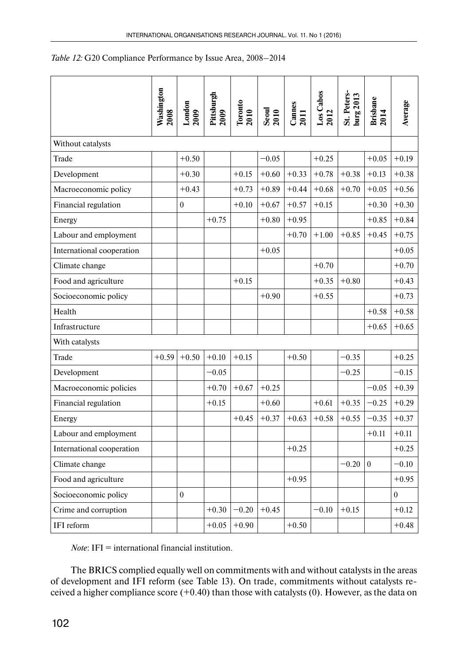|                           | Washington<br>2008 | $\frac{\text{London}}{2009}$ | Pittsburgh<br>2009 | Toronto<br>2010 | $\frac{1}{2010}$ | <b>Cames</b><br>2011 | Los Cabos<br>2012 | St. Peters-<br>burg 2013 | Brisbane<br>2014 | Average  |
|---------------------------|--------------------|------------------------------|--------------------|-----------------|------------------|----------------------|-------------------|--------------------------|------------------|----------|
|                           |                    |                              |                    |                 |                  |                      |                   |                          |                  |          |
| Without catalysts         |                    |                              |                    |                 |                  |                      |                   |                          |                  |          |
| Trade                     |                    | $+0.50$                      |                    |                 | $-0.05$          |                      | $+0.25$           |                          | $+0.05$          | $+0.19$  |
| Development               |                    | $+0.30$                      |                    | $+0.15$         | $+0.60$          | $+0.33$              | $+0.78$           | $+0.38$                  | $+0.13$          | $+0.38$  |
| Macroeconomic policy      |                    | $+0.43$                      |                    | $+0.73$         | $+0.89$          | $+0.44$              | $+0.68$           | $+0.70$                  | $+0.05$          | $+0.56$  |
| Financial regulation      |                    | $\boldsymbol{0}$             |                    | $+0.10$         | $+0.67$          | $+0.57$              | $+0.15$           |                          | $+0.30$          | $+0.30$  |
| Energy                    |                    |                              | $+0.75$            |                 | $+0.80$          | $+0.95$              |                   |                          | $+0.85$          | $+0.84$  |
| Labour and employment     |                    |                              |                    |                 |                  | $+0.70$              | $+1.00$           | $+0.85$                  | $+0.45$          | $+0.75$  |
| International cooperation |                    |                              |                    |                 | $+0.05$          |                      |                   |                          |                  | $+0.05$  |
| Climate change            |                    |                              |                    |                 |                  |                      | $+0.70$           |                          |                  | $+0.70$  |
| Food and agriculture      |                    |                              |                    | $+0.15$         |                  |                      | $+0.35$           | $+0.80$                  |                  | $+0.43$  |
| Socioeconomic policy      |                    |                              |                    |                 | $+0.90$          |                      | $+0.55$           |                          |                  | $+0.73$  |
| Health                    |                    |                              |                    |                 |                  |                      |                   |                          | $+0.58$          | $+0.58$  |
| Infrastructure            |                    |                              |                    |                 |                  |                      |                   |                          | $+0.65$          | $+0.65$  |
| With catalysts            |                    |                              |                    |                 |                  |                      |                   |                          |                  |          |
| Trade                     | $+0.59$            | $+0.50$                      | $+0.10$            | $+0.15$         |                  | $+0.50$              |                   | $-0.35$                  |                  | $+0.25$  |
| Development               |                    |                              | $-0.05$            |                 |                  |                      |                   | $-0.25$                  |                  | $-0.15$  |
| Macroeconomic policies    |                    |                              | $+0.70$            | $+0.67$         | $+0.25$          |                      |                   |                          | $-0.05$          | $+0.39$  |
| Financial regulation      |                    |                              | $+0.15$            |                 | $+0.60$          |                      | $+0.61$           | $+0.35$                  | $-0.25$          | $+0.29$  |
| Energy                    |                    |                              |                    | $+0.45$         | $+0.37$          | $+0.63$              | $+0.58$           | $+0.55$                  | $-0.35$          | $+0.37$  |
| Labour and employment     |                    |                              |                    |                 |                  |                      |                   |                          | $+0.11$          | $+0.11$  |
| International cooperation |                    |                              |                    |                 |                  | $+0.25$              |                   |                          |                  | $+0.25$  |
| Climate change            |                    |                              |                    |                 |                  |                      |                   | $-0.20$                  | $\overline{0}$   | $-0.10$  |
| Food and agriculture      |                    |                              |                    |                 |                  | $+0.95$              |                   |                          |                  | $+0.95$  |
| Socioeconomic policy      |                    | $\boldsymbol{0}$             |                    |                 |                  |                      |                   |                          |                  | $\theta$ |
| Crime and corruption      |                    |                              | $+0.30$            | $-0.20$         | $+0.45$          |                      | $-0.10$           | $+0.15$                  |                  | $+0.12$  |
| IFI reform                |                    |                              | $+0.05$            | $+0.90$         |                  | $+0.50$              |                   |                          |                  | $+0.48$  |

*Note*: IFI = international financial institution.

The BRICS complied equally well on commitments with and without catalysts in the areas of development and IFI reform (see Table 13). On trade, commitments without catalysts received a higher compliance score  $(+0.40)$  than those with catalysts  $(0)$ . However, as the data on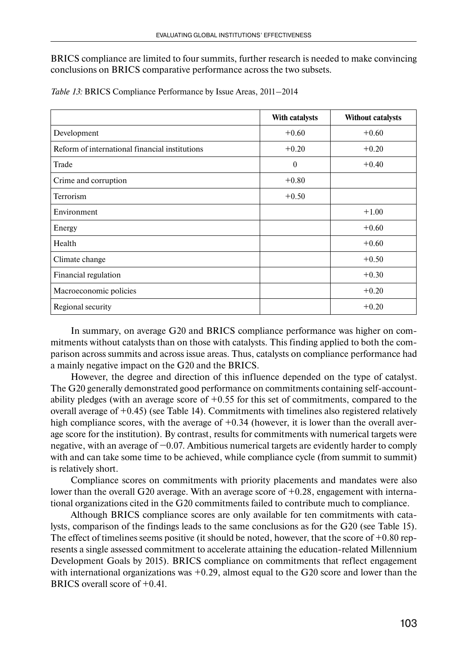BRICS compliance are limited to four summits, further research is needed to make convincing conclusions on BRICS comparative performance across the two subsets.

|                                                | With catalysts | Without catalysts |
|------------------------------------------------|----------------|-------------------|
| Development                                    | $+0.60$        | $+0.60$           |
| Reform of international financial institutions | $+0.20$        | $+0.20$           |
| Trade                                          | $\mathbf{0}$   | $+0.40$           |
| Crime and corruption                           | $+0.80$        |                   |
| <b>Terrorism</b>                               | $+0.50$        |                   |
| Environment                                    |                | $+1.00$           |
| Energy                                         |                | $+0.60$           |
| Health                                         |                | $+0.60$           |
| Climate change                                 |                | $+0.50$           |
| Financial regulation                           |                | $+0.30$           |
| Macroeconomic policies                         |                | $+0.20$           |
| Regional security                              |                | $+0.20$           |

*Table 13:* BRICS Compliance Performance by Issue Areas, 2011–2014

In summary, on average G20 and BRICS compliance performance was higher on commitments without catalysts than on those with catalysts. This finding applied to both the comparison across summits and across issue areas. Thus, catalysts on compliance performance had a mainly negative impact on the G20 and the BRICS.

However, the degree and direction of this influence depended on the type of catalyst. The G20 generally demonstrated good performance on commitments containing self-accountability pledges (with an average score of  $+0.55$  for this set of commitments, compared to the overall average of  $+0.45$ ) (see Table 14). Commitments with timelines also registered relatively high compliance scores, with the average of  $+0.34$  (however, it is lower than the overall average score for the institution). By contrast, results for commitments with numerical targets were negative, with an average of −0.07. Ambitious numerical targets are evidently harder to comply with and can take some time to be achieved, while compliance cycle (from summit to summit) is relatively short.

Compliance scores on commitments with priority placements and mandates were also lower than the overall G20 average. With an average score of  $+0.28$ , engagement with international organizations cited in the G20 commitments failed to contribute much to compliance.

Although BRICS compliance scores are only available for ten commitments with catalysts, comparison of the findings leads to the same conclusions as for the G20 (see Table 15). The effect of timelines seems positive (it should be noted, however, that the score of  $+0.80$  represents a single assessed commitment to accelerate attaining the education-related Millennium Development Goals by 2015). BRICS compliance on commitments that reflect engagement with international organizations was  $+0.29$ , almost equal to the G20 score and lower than the BRICS overall score of +0.41.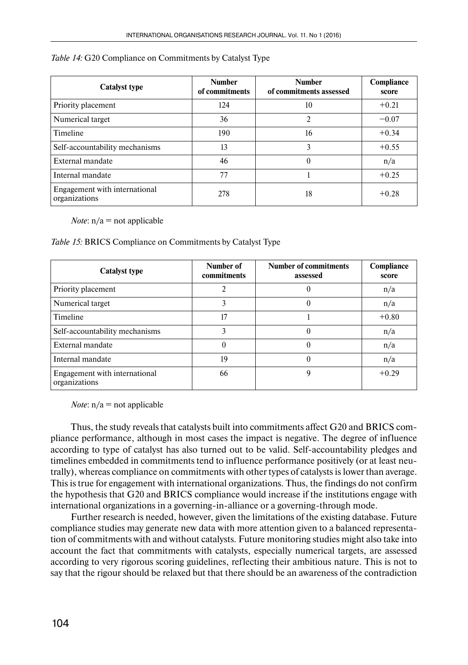| <b>Catalyst type</b>                           | <b>Number</b><br>of commitments | <b>Number</b><br>of commitments assessed | Compliance<br>score |
|------------------------------------------------|---------------------------------|------------------------------------------|---------------------|
| Priority placement                             | 124                             | 10                                       | $+0.21$             |
| Numerical target                               | 36                              | 2                                        | $-0.07$             |
| Timeline                                       | 190                             | 16                                       | $+0.34$             |
| Self-accountability mechanisms                 | 13                              | 3                                        | $+0.55$             |
| External mandate                               | 46                              | $\theta$                                 | n/a                 |
| Internal mandate                               | 77                              |                                          | $+0.25$             |
| Engagement with international<br>organizations | 278                             | 18                                       | $+0.28$             |

#### *Table 14:* G20 Compliance on Commitments by Catalyst Type

*Note*:  $n/a = not applicable$ 

#### *Table 15:* BRICS Compliance on Commitments by Catalyst Type

| <b>Catalyst type</b>                           | Number of<br>commitments | <b>Number of commitments</b><br>assessed | Compliance<br>score |
|------------------------------------------------|--------------------------|------------------------------------------|---------------------|
| Priority placement                             | $\mathfrak{D}$           | 0                                        | n/a                 |
| Numerical target                               | 3                        | $\theta$                                 | n/a                 |
| Timeline                                       | 17                       |                                          | $+0.80$             |
| Self-accountability mechanisms                 | 3                        | $\theta$                                 | n/a                 |
| External mandate                               | $\theta$                 | $\theta$                                 | n/a                 |
| Internal mandate                               | 19                       | $\theta$                                 | n/a                 |
| Engagement with international<br>organizations | 66                       | 9                                        | $+0.29$             |

*Note*:  $n/a = not applicable$ 

Thus, the study reveals that catalysts built into commitments affect G20 and BRICS compliance performance, although in most cases the impact is negative. The degree of influence according to type of catalyst has also turned out to be valid. Self-accountability pledges and timelines embedded in commitments tend to influence performance positively (or at least neutrally), whereas compliance on commitments with other types of catalysts is lower than average. This is true for engagement with international organizations. Thus, the findings do not confirm the hypothesis that G20 and BRICS compliance would increase if the institutions engage with international organizations in a governing-in-alliance or a governing-through mode.

Further research is needed, however, given the limitations of the existing database. Future compliance studies may generate new data with more attention given to a balanced representation of commitments with and without catalysts. Future monitoring studies might also take into account the fact that commitments with catalysts, especially numerical targets, are assessed according to very rigorous scoring guidelines, reflecting their ambitious nature. This is not to say that the rigour should be relaxed but that there should be an awareness of the contradiction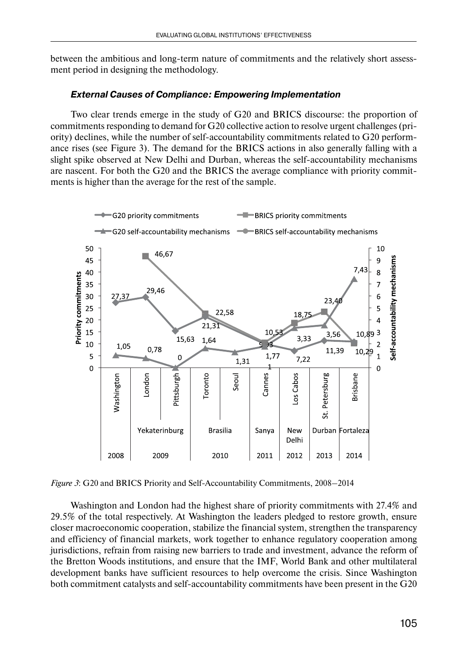between the ambitious and long-term nature of commitments and the relatively short assessment period in designing the methodology.

#### *External Causes of Compliance: Empowering Implementation*

Two clear trends emerge in the study of G20 and BRICS discourse: the proportion of commitments responding to demand for G20 collective action to resolve urgent challenges (priority) declines, while the number of self-accountability commitments related to G20 performance rises (see Figure 3). The demand for the BRICS actions in also generally falling with a slight spike observed at New Delhi and Durban, whereas the self-accountability mechanisms are nascent. For both the G20 and the BRICS the average compliance with priority commitments is higher than the average for the rest of the sample.



*Figure 3*: G20 and BRICS Priority and Self-Accountability Commitments, 2008–2014

Washington and London had the highest share of priority commitments with 27.4% and 29.5% of the total respectively. At Washington the leaders pledged to restore growth, ensure closer macroeconomic cooperation, stabilize the financial system, strengthen the transparency and efficiency of financial markets, work together to enhance regulatory cooperation among jurisdictions, refrain from raising new barriers to trade and investment, advance the reform of the Bretton Woods institutions, and ensure that the IMF, World Bank and other multilateral development banks have sufficient resources to help overcome the crisis. Since Washington both commitment catalysts and self-accountability commitments have been present in the G20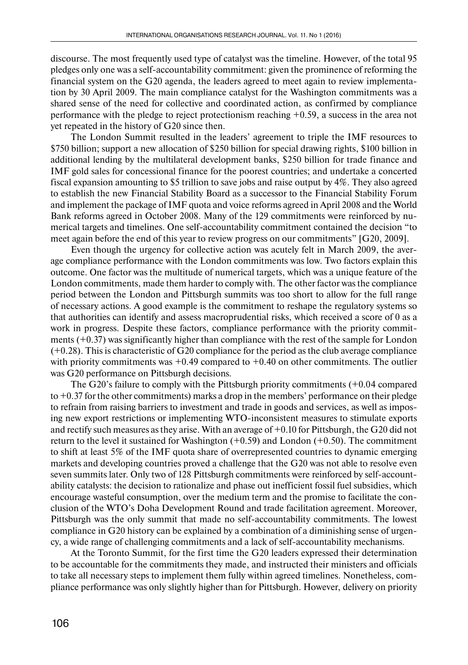discourse. The most frequently used type of catalyst was the timeline. However, of the total 95 pledges only one was a self-accountability commitment: given the prominence of reforming the financial system on the G20 agenda, the leaders agreed to meet again to review implementation by 30 April 2009. The main compliance catalyst for the Washington commitments was a shared sense of the need for collective and coordinated action, as confirmed by compliance performance with the pledge to reject protectionism reaching +0.59, a success in the area not yet repeated in the history of G20 since then.

The London Summit resulted in the leaders' agreement to triple the IMF resources to \$750 billion; support a new allocation of \$250 billion for special drawing rights, \$100 billion in additional lending by the multilateral development banks, \$250 billion for trade finance and IMF gold sales for concessional finance for the poorest countries; and undertake a concerted fiscal expansion amounting to \$5 trillion to save jobs and raise output by 4%. They also agreed to establish the new Financial Stability Board as a successor to the Financial Stability Forum and implement the package of IMF quota and voice reforms agreed in April 2008 and the World Bank reforms agreed in October 2008. Many of the 129 commitments were reinforced by numerical targets and timelines. One self-accountability commitment contained the decision "to meet again before the end of this year to review progress on our commitments" [G20, 2009].

Even though the urgency for collective action was acutely felt in March 2009, the average compliance performance with the London commitments was low. Two factors explain this outcome. One factor was the multitude of numerical targets, which was a unique feature of the London commitments, made them harder to comply with. The other factor was the compliance period between the London and Pittsburgh summits was too short to allow for the full range of necessary actions. A good example is the commitment to reshape the regulatory systems so that authorities can identify and assess macroprudential risks, which received a score of 0 as a work in progress. Despite these factors, compliance performance with the priority commitments  $(+0.37)$  was significantly higher than compliance with the rest of the sample for London (+0.28). This is characteristic of G20 compliance for the period as the club average compliance with priority commitments was  $+0.49$  compared to  $+0.40$  on other commitments. The outlier was G20 performance on Pittsburgh decisions.

The G20's failure to comply with the Pittsburgh priority commitments  $(+0.04$  compared to +0.37 for the other commitments) marks a drop in the members' performance on their pledge to refrain from raising barriers to investment and trade in goods and services, as well as imposing new export restrictions or implementing WTO-inconsistent measures to stimulate exports and rectify such measures as they arise. With an average of +0.10 for Pittsburgh, the G20 did not return to the level it sustained for Washington  $(+0.59)$  and London  $(+0.50)$ . The commitment to shift at least 5% of the IMF quota share of overrepresented countries to dynamic emerging markets and developing countries proved a challenge that the G20 was not able to resolve even seven summits later. Only two of 128 Pittsburgh commitments were reinforced by self-accountability catalysts: the decision to rationalize and phase out inefficient fossil fuel subsidies, which encourage wasteful consumption, over the medium term and the promise to facilitate the conclusion of the WTO's Doha Development Round and trade facilitation agreement. Moreover, Pittsburgh was the only summit that made no self-accountability commitments. The lowest compliance in G20 history can be explained by a combination of a diminishing sense of urgency, a wide range of challenging commitments and a lack of self-accountability mechanisms.

At the Toronto Summit, for the first time the G20 leaders expressed their determination to be accountable for the commitments they made, and instructed their ministers and officials to take all necessary steps to implement them fully within agreed timelines. Nonetheless, compliance performance was only slightly higher than for Pittsburgh. However, delivery on priority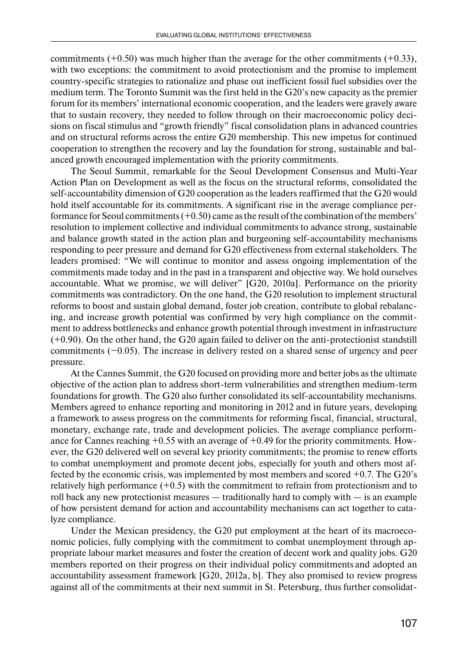commitments  $(+0.50)$  was much higher than the average for the other commitments  $(+0.33)$ , with two exceptions: the commitment to avoid protectionism and the promise to implement country-specific strategies to rationalize and phase out inefficient fossil fuel subsidies over the medium term. The Toronto Summit was the first held in the G20's new capacity as the premier forum for its members' international economic cooperation, and the leaders were gravely aware that to sustain recovery, they needed to follow through on their macroeconomic policy decisions on fiscal stimulus and "growth friendly" fiscal consolidation plans in advanced countries and on structural reforms across the entire G20 membership. This new impetus for continued cooperation to strengthen the recovery and lay the foundation for strong, sustainable and balanced growth encouraged implementation with the priority commitments.

The Seoul Summit, remarkable for the Seoul Development Consensus and Multi-Year Action Plan on Development as well as the focus on the structural reforms, consolidated the self-accountability dimension of G20 cooperation as the leaders reaffirmed that the G20 would hold itself accountable for its commitments. A significant rise in the average compliance performance for Seoul commitments  $(+0.50)$  came as the result of the combination of the members' resolution to implement collective and individual commitments to advance strong, sustainable and balance growth stated in the action plan and burgeoning self-accountability mechanisms responding to peer pressure and demand for G20 effectiveness from external stakeholders. The leaders promised: "We will continue to monitor and assess ongoing implementation of the commitments made today and in the past in a transparent and objective way. We hold ourselves accountable. What we promise, we will deliver" [G20, 2010a]. Performance on the priority commitments was contradictory. On the one hand, the G20 resolution to implement structural reforms to boost and sustain global demand, foster job creation, contribute to global rebalancing, and increase growth potential was confirmed by very high compliance on the commitment to address bottlenecks and enhance growth potential through investment in infrastructure (+0.90). On the other hand, the G20 again failed to deliver on the anti-protectionist standstill commitments (−0.05). The increase in delivery rested on a shared sense of urgency and peer pressure.

At the Cannes Summit, the G20 focused on providing more and better jobs as the ultimate objective of the action plan to address short-term vulnerabilities and strengthen medium-term foundations for growth. The G20 also further consolidated its self-accountability mechanisms. Members agreed to enhance reporting and monitoring in 2012 and in future years, developing a framework to assess progress on the commitments for reforming fiscal, financial, structural, monetary, exchange rate, trade and development policies. The average compliance performance for Cannes reaching  $+0.55$  with an average of  $+0.49$  for the priority commitments. However, the G20 delivered well on several key priority commitments; the promise to renew efforts to combat unemployment and promote decent jobs, especially for youth and others most affected by the economic crisis, was implemented by most members and scored  $+0.7$ . The G20's relatively high performance  $(+0.5)$  with the commitment to refrain from protectionism and to roll back any new protectionist measures — traditionally hard to comply with — is an example of how persistent demand for action and accountability mechanisms can act together to catalyze compliance.

Under the Mexican presidency, the G20 put employment at the heart of its macroeconomic policies, fully complying with the commitment to combat unemployment through appropriate labour market measures and foster the creation of decent work and quality jobs. G20 members reported on their progress on their individual policy commitments and adopted an accountability assessment framework [G20, 2012a, b]. They also promised to review progress against all of the commitments at their next summit in St. Petersburg, thus further consolidat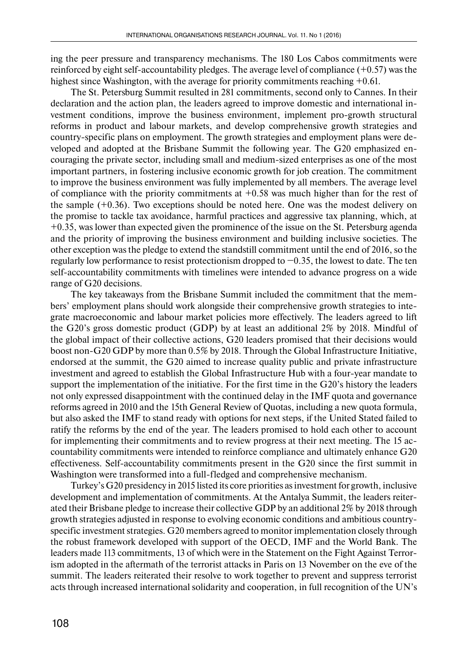ing the peer pressure and transparency mechanisms. The 180 Los Cabos commitments were reinforced by eight self-accountability pledges. The average level of compliance  $(+0.57)$  was the highest since Washington, with the average for priority commitments reaching  $+0.61$ .

The St. Petersburg Summit resulted in 281 commitments, second only to Cannes. In their declaration and the action plan, the leaders agreed to improve domestic and international investment conditions, improve the business environment, implement pro-growth structural reforms in product and labour markets, and develop comprehensive growth strategies and country-specific plans on employment. The growth strategies and employment plans were developed and adopted at the Brisbane Summit the following year. The G20 emphasized encouraging the private sector, including small and medium-sized enterprises as one of the most important partners, in fostering inclusive economic growth for job creation. The commitment to improve the business environment was fully implemented by all members. The average level of compliance with the priority commitments at  $+0.58$  was much higher than for the rest of the sample (+0.36). Two exceptions should be noted here. One was the modest delivery on the promise to tackle tax avoidance, harmful practices and aggressive tax planning, which, at +0.35, was lower than expected given the prominence of the issue on the St. Petersburg agenda and the priority of improving the business environment and building inclusive societies. The other exception was the pledge to extend the standstill commitment until the end of 2016, so the regularly low performance to resist protectionism dropped to −0.35, the lowest to date. The ten self-accountability commitments with timelines were intended to advance progress on a wide range of G20 decisions.

The key takeaways from the Brisbane Summit included the commitment that the members' employment plans should work alongside their comprehensive growth strategies to integrate macroeconomic and labour market policies more effectively. The leaders agreed to lift the G20's gross domestic product (GDP) by at least an additional 2% by 2018. Mindful of the global impact of their collective actions, G20 leaders promised that their decisions would boost non-G20 GDP by more than 0.5% by 2018. Through the Global Infrastructure Initiative, endorsed at the summit, the G20 aimed to increase quality public and private infrastructure investment and agreed to establish the Global Infrastructure Hub with a four-year mandate to support the implementation of the initiative. For the first time in the G20's history the leaders not only expressed disappointment with the continued delay in the IMF quota and governance reforms agreed in 2010 and the 15th General Review of Quotas, including a new quota formula, but also asked the IMF to stand ready with options for next steps, if the United Stated failed to ratify the reforms by the end of the year. The leaders promised to hold each other to account for implementing their commitments and to review progress at their next meeting. The 15 accountability commitments were intended to reinforce compliance and ultimately enhance G20 effectiveness. Self-accountability commitments present in the G20 since the first summit in Washington were transformed into a full-fledged and comprehensive mechanism.

Turkey's G20 presidency in 2015 listed its core priorities as investment for growth, inclusive development and implementation of commitments. At the Antalya Summit, the leaders reiterated their Brisbane pledge to increase their collective GDP by an additional 2% by 2018 through growth strategies adjusted in response to evolving economic conditions and ambitious countryspecific investment strategies. G20 members agreed to monitor implementation closely through the robust framework developed with support of the OECD, IMF and the World Bank. The leaders made 113 commitments, 13 of which were in the Statement on the Fight Against Terrorism adopted in the aftermath of the terrorist attacks in Paris on 13 November on the eve of the summit. The leaders reiterated their resolve to work together to prevent and suppress terrorist acts through increased international solidarity and cooperation, in full recognition of the UN's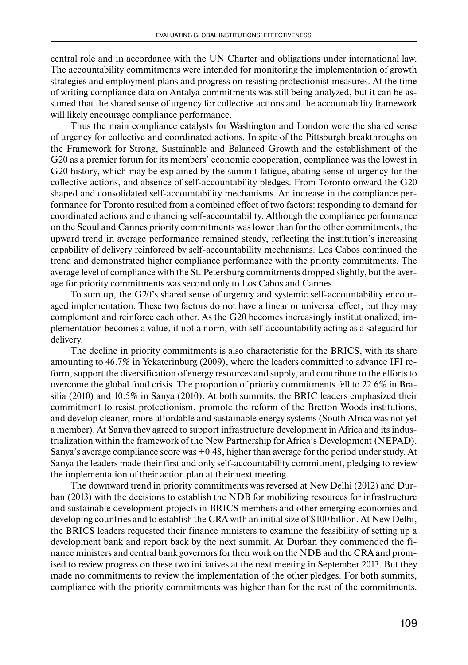central role and in accordance with the UN Charter and obligations under international law. The accountability commitments were intended for monitoring the implementation of growth strategies and employment plans and progress on resisting protectionist measures. At the time of writing compliance data on Antalya commitments was still being analyzed, but it can be assumed that the shared sense of urgency for collective actions and the accountability framework will likely encourage compliance performance.

Thus the main compliance catalysts for Washington and London were the shared sense of urgency for collective and coordinated actions. In spite of the Pittsburgh breakthroughs on the Framework for Strong, Sustainable and Balanced Growth and the establishment of the G20 as a premier forum for its members' economic cooperation, compliance was the lowest in G20 history, which may be explained by the summit fatigue, abating sense of urgency for the collective actions, and absence of self-accountability pledges. From Toronto onward the G20 shaped and consolidated self-accountability mechanisms. An increase in the compliance performance for Toronto resulted from a combined effect of two factors: responding to demand for coordinated actions and enhancing self-accountability. Although the compliance performance on the Seoul and Cannes priority commitments was lower than for the other commitments, the upward trend in average performance remained steady, reflecting the institution's increasing capability of delivery reinforced by self-accountability mechanisms. Los Cabos continued the trend and demonstrated higher compliance performance with the priority commitments. The average level of compliance with the St. Petersburg commitments dropped slightly, but the average for priority commitments was second only to Los Cabos and Cannes.

To sum up, the G20's shared sense of urgency and systemic self-accountability encouraged implementation. These two factors do not have a linear or universal effect, but they may complement and reinforce each other. As the G20 becomes increasingly institutionalized, implementation becomes a value, if not a norm, with self-accountability acting as a safeguard for delivery.

The decline in priority commitments is also characteristic for the BRICS, with its share amounting to 46.7% in Yekaterinburg (2009), where the leaders committed to advance IFI reform, support the diversification of energy resources and supply, and contribute to the efforts to overcome the global food crisis. The proportion of priority commitments fell to 22.6% in Brasilia (2010) and 10.5% in Sanya (2010). At both summits, the BRIC leaders emphasized their commitment to resist protectionism, promote the reform of the Bretton Woods institutions, and develop cleaner, more affordable and sustainable energy systems (South Africa was not yet a member). At Sanya they agreed to support infrastructure development in Africa and its industrialization within the framework of the New Partnership for Africa's Development (NEPAD). Sanya's average compliance score was +0.48, higher than average for the period under study. At Sanya the leaders made their first and only self-accountability commitment, pledging to review the implementation of their action plan at their next meeting.

The downward trend in priority commitments was reversed at New Delhi (2012) and Durban (2013) with the decisions to establish the NDB for mobilizing resources for infrastructure and sustainable development projects in BRICS members and other emerging economies and developing countries and to establish the CRA with an initial size of \$100 billion. At New Delhi, the BRICS leaders requested their finance ministers to examine the feasibility of setting up a development bank and report back by the next summit. At Durban they commended the finance ministers and central bank governors for their work on the NDB and the CRA and promised to review progress on these two initiatives at the next meeting in September 2013. But they made no commitments to review the implementation of the other pledges. For both summits, compliance with the priority commitments was higher than for the rest of the commitments.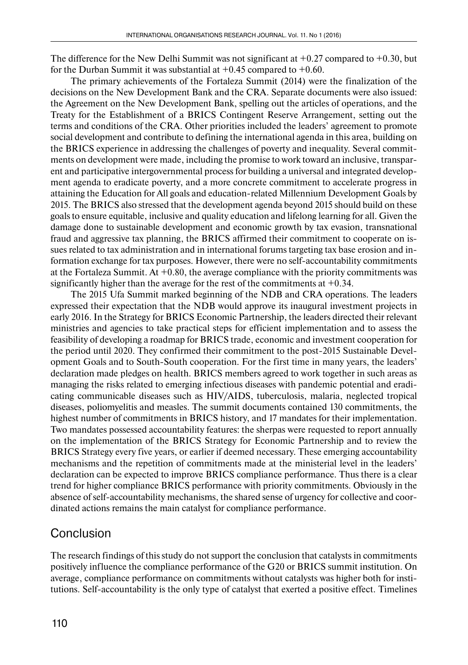The difference for the New Delhi Summit was not significant at  $+0.27$  compared to  $+0.30$ , but for the Durban Summit it was substantial at  $+0.45$  compared to  $+0.60$ .

The primary achievements of the Fortaleza Summit (2014) were the finalization of the decisions on the New Development Bank and the CRA. Separate documents were also issued: the Agreement on the New Development Bank, spelling out the articles of operations, and the Treaty for the Establishment of a BRICS Contingent Reserve Arrangement, setting out the terms and conditions of the CRA. Other priorities included the leaders' agreement to promote social development and contribute to defining the international agenda in this area, building on the BRICS experience in addressing the challenges of poverty and inequality. Several commitments on development were made, including the promise to work toward an inclusive, transparent and participative intergovernmental process for building a universal and integrated development agenda to eradicate poverty, and a more concrete commitment to accelerate progress in attaining the Education for All goals and education-related Millennium Development Goals by 2015. The BRICS also stressed that the development agenda beyond 2015 should build on these goals to ensure equitable, inclusive and quality education and lifelong learning for all. Given the damage done to sustainable development and economic growth by tax evasion, transnational fraud and aggressive tax planning, the BRICS affirmed their commitment to cooperate on issues related to tax administration and in international forums targeting tax base erosion and information exchange for tax purposes. However, there were no self-accountability commitments at the Fortaleza Summit. At  $+0.80$ , the average compliance with the priority commitments was significantly higher than the average for the rest of the commitments at  $+0.34$ .

The 2015 Ufa Summit marked beginning of the NDB and CRA operations. The leaders expressed their expectation that the NDB would approve its inaugural investment projects in early 2016. In the Strategy for BRICS Economic Partnership, the leaders directed their relevant ministries and agencies to take practical steps for efficient implementation and to assess the feasibility of developing a roadmap for BRICS trade, economic and investment cooperation for the period until 2020. They confirmed their commitment to the post-2015 Sustainable Development Goals and to South-South cooperation. For the first time in many years, the leaders' declaration made pledges on health. BRICS members agreed to work together in such areas as managing the risks related to emerging infectious diseases with pandemic potential and eradicating communicable diseases such as HIV/AIDS, tuberculosis, malaria, neglected tropical diseases, poliomyelitis and measles. The summit documents contained 130 commitments, the highest number of commitments in BRICS history, and 17 mandates for their implementation. Two mandates possessed accountability features: the sherpas were requested to report annually on the implementation of the BRICS Strategy for Economic Partnership and to review the BRICS Strategy every five years, or earlier if deemed necessary. These emerging accountability mechanisms and the repetition of commitments made at the ministerial level in the leaders' declaration can be expected to improve BRICS compliance performance. Thus there is a clear trend for higher compliance BRICS performance with priority commitments. Obviously in the absence of self-accountability mechanisms, the shared sense of urgency for collective and coordinated actions remains the main catalyst for compliance performance.

# **Conclusion**

The research findings of this study do not support the conclusion that catalysts in commitments positively influence the compliance performance of the G20 or BRICS summit institution. On average, compliance performance on commitments without catalysts was higher both for institutions. Self-accountability is the only type of catalyst that exerted a positive effect. Timelines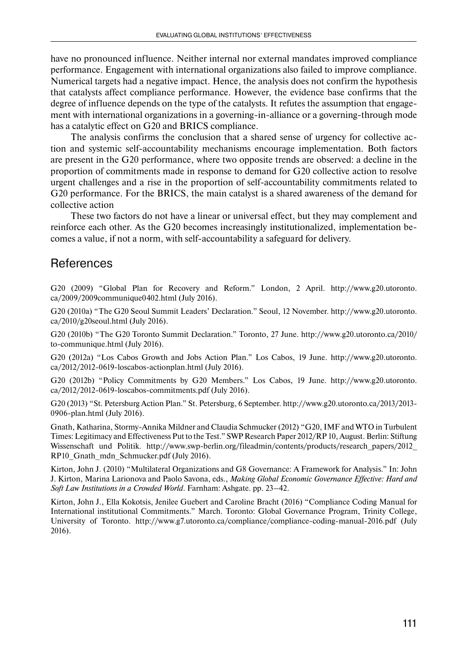have no pronounced influence. Neither internal nor external mandates improved compliance performance. Engagement with international organizations also failed to improve compliance. Numerical targets had a negative impact. Hence, the analysis does not confirm the hypothesis that catalysts affect compliance performance. However, the evidence base confirms that the degree of influence depends on the type of the catalysts. It refutes the assumption that engagement with international organizations in a governing-in-alliance or a governing-through mode has a catalytic effect on G20 and BRICS compliance.

The analysis confirms the conclusion that a shared sense of urgency for collective action and systemic self-accountability mechanisms encourage implementation. Both factors are present in the G20 performance, where two opposite trends are observed: a decline in the proportion of commitments made in response to demand for G20 collective action to resolve urgent challenges and a rise in the proportion of self-accountability commitments related to G20 performance. For the BRICS, the main catalyst is a shared awareness of the demand for collective action

These two factors do not have a linear or universal effect, but they may complement and reinforce each other. As the G20 becomes increasingly institutionalized, implementation becomes a value, if not a norm, with self-accountability a safeguard for delivery.

# References

G20 (2009) "Global Plan for Recovery and Reform." London, 2 April. http://www.g20.utoronto. ca/2009/2009communique0402.html (July 2016).

G20 (2010a) "The G20 Seoul Summit Leaders' Declaration." Seoul, 12 November. http://www.g20.utoronto. ca/2010/g20seoul.html (July 2016).

G20 (2010b) "The G20 Toronto Summit Declaration." Toronto, 27 June. http://www.g20.utoronto.ca/2010/ to-communique.html (July 2016).

G20 (2012a) "Los Cabos Growth and Jobs Action Plan." Los Cabos, 19 June. http://www.g20.utoronto. ca/2012/2012-0619-loscabos-actionplan.html (July 2016).

G20 (2012b) "Policy Commitments by G20 Members." Los Cabos, 19 June. http://www.g20.utoronto. ca/2012/2012-0619-loscabos-commitments.pdf (July 2016).

G20 (2013) "St. Petersburg Action Plan." St. Petersburg, 6 September. http://www.g20.utoronto.ca/2013/2013- 0906-plan.html (July 2016).

Gnath, Katharina, Stormy-Annika Mildner and Claudia Schmucker (2012) "G20, IMF and WTO in Turbulent Times: Legitimacy and Effectiveness Put to the Test." SWP Research Paper 2012/RP 10, August. Berlin: Stiftung Wissenschaft und Politik. http://www.swp-berlin.org/fileadmin/contents/products/research\_papers/2012\_ RP10\_Gnath\_mdn\_Schmucker.pdf (July 2016).

Kirton, John J. (2010) "Multilateral Organizations and G8 Governance: A Framework for Analysis." In: John J. Kirton, Marina Larionova and Paolo Savona, eds., *Making Global Economic Governance Effective: Hard and Soft Law Institutions in a Crowded World*. Farnham: Ashgate. pp. 23–42.

Kirton, John J., Ella Kokotsis, Jenilee Guebert and Caroline Bracht (2016) "Compliance Coding Manual for International institutional Commitments." March. Toronto: Global Governance Program, Trinity College, University of Toronto. http://www.g7.utoronto.ca/compliance/compliance-coding-manual-2016.pdf (July 2016).